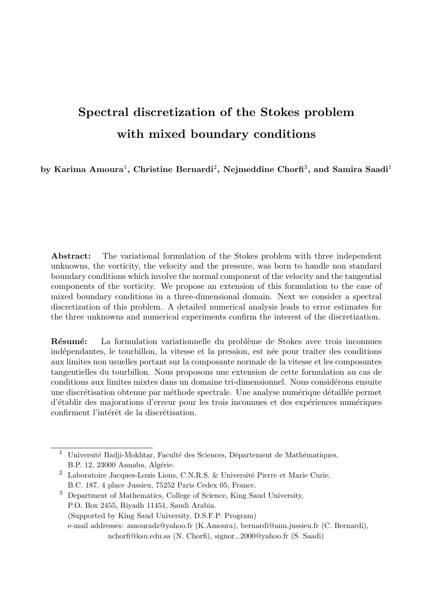# Spectral discretization of the Stokes problem with mixed boundary conditions

by Karima Amoura $^1,$  Christine Bernardi $^2,$  Nejmeddine Chorfi $^3,$  and Samira Saadi $^1$ 

Abstract: The variational formulation of the Stokes problem with three independent unknowns, the vorticity, the velocity and the pressure, was born to handle non standard boundary conditions which involve the normal component of the velocity and the tangential components of the vorticity. We propose an extension of this formulation to the case of mixed boundary conditions in a three-dimensional domain. Next we consider a spectral discretization of this problem. A detailed numerical analysis leads to error estimates for the three unknowns and numerical experiments confirm the interest of the discretization.

Résumé: La formulation variationnelle du problème de Stokes avec trois inconnues indépendantes, le tourbillon, la vitesse et la pression, est née pour traiter des conditions aux limites non usuelles portant sur la composante normale de la vitesse et les composantes tangentielles du tourbillon. Nous proposons une extension de cette formulation au cas de conditions aux limites mixtes dans un domaine tri-dimensionnel. Nous considérons ensuite une discrétisation obtenue par méthode spectrale. Une analyse numérique détaillée permet d'établir des majorations d'erreur pour les trois inconnues et des expériences numériques confirment l'intérêt de la discrétisation.

<sup>&</sup>lt;sup>1</sup> Université Badji-Mokhtar, Faculté des Sciences, Département de Mathématiques, B.P. 12, 23000 Annaba, Algérie.

<sup>&</sup>lt;sup>2</sup> Laboratoire Jacques-Louis Lions, C.N.R.S. & Université Pierre et Marie Curie, B.C. 187, 4 place Jussieu, 75252 Paris Cedex 05, France.

<sup>3</sup> Department of Mathematics, College of Science, King Saud University, P.O. Box 2455, Riyadh 11451, Saudi Arabia. (Supported by King Saud University, D.S.F.P. Program) e-mail addresses: amouradz@yahoo.fr (K.Amoura), bernardi@ann.jussieu.fr (C. Bernardi), nchorfi@ksu.edu.sa (N. Chorfi), signor−2000@yahoo.fr (S. Saadi)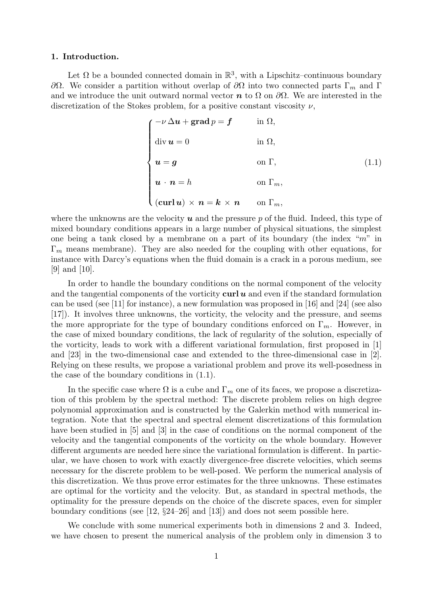#### 1. Introduction.

Let  $\Omega$  be a bounded connected domain in  $\mathbb{R}^3$ , with a Lipschitz–continuous boundary  $\partial\Omega$ . We consider a partition without overlap of  $\partial\Omega$  into two connected parts Γ<sub>m</sub> and Γ and we introduce the unit outward normal vector  $\boldsymbol{n}$  to  $\Omega$  on  $\partial\Omega$ . We are interested in the discretization of the Stokes problem, for a positive constant viscosity  $\nu$ ,

$$
\begin{cases}\n-\nu \Delta u + \operatorname{grad} p = f & \text{in } \Omega, \\
\operatorname{div} u = 0 & \text{in } \Omega, \\
u = g & \text{on } \Gamma, \\
u \cdot n = h & \text{on } \Gamma_n, \\
(\operatorname{curl} u) \times n = k \times n & \text{on } \Gamma_m,\n\end{cases}
$$
\n(1.1)

where the unknowns are the velocity  $\boldsymbol{u}$  and the pressure p of the fluid. Indeed, this type of mixed boundary conditions appears in a large number of physical situations, the simplest one being a tank closed by a membrane on a part of its boundary (the index " $m$ " in  $\Gamma_m$  means membrane). They are also needed for the coupling with other equations, for instance with Darcy's equations when the fluid domain is a crack in a porous medium, see [9] and [10].

In order to handle the boundary conditions on the normal component of the velocity and the tangential components of the vorticity  $\text{curl } u$  and even if the standard formulation can be used (see [11] for instance), a new formulation was proposed in [16] and [24] (see also [17]). It involves three unknowns, the vorticity, the velocity and the pressure, and seems the more appropriate for the type of boundary conditions enforced on  $\Gamma_m$ . However, in the case of mixed boundary conditions, the lack of regularity of the solution, especially of the vorticity, leads to work with a different variational formulation, first proposed in [1] and [23] in the two-dimensional case and extended to the three-dimensional case in [2]. Relying on these results, we propose a variational problem and prove its well-posedness in the case of the boundary conditions in (1.1).

In the specific case where  $\Omega$  is a cube and  $\Gamma_m$  one of its faces, we propose a discretization of this problem by the spectral method: The discrete problem relies on high degree polynomial approximation and is constructed by the Galerkin method with numerical integration. Note that the spectral and spectral element discretizations of this formulation have been studied in [5] and [3] in the case of conditions on the normal component of the velocity and the tangential components of the vorticity on the whole boundary. However different arguments are needed here since the variational formulation is different. In particular, we have chosen to work with exactly divergence-free discrete velocities, which seems necessary for the discrete problem to be well-posed. We perform the numerical analysis of this discretization. We thus prove error estimates for the three unknowns. These estimates are optimal for the vorticity and the velocity. But, as standard in spectral methods, the optimality for the pressure depends on the choice of the discrete spaces, even for simpler boundary conditions (see [12, §24–26] and [13]) and does not seem possible here.

We conclude with some numerical experiments both in dimensions 2 and 3. Indeed, we have chosen to present the numerical analysis of the problem only in dimension 3 to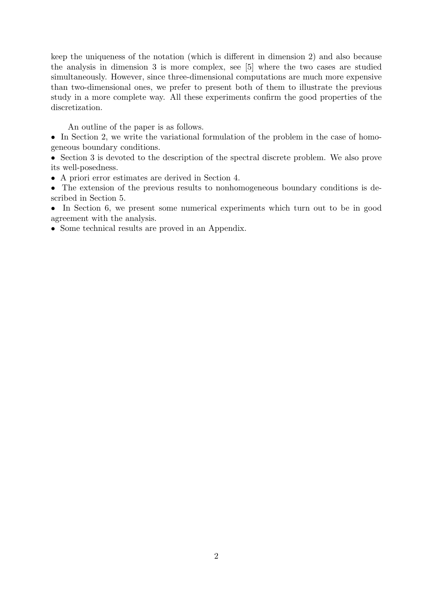keep the uniqueness of the notation (which is different in dimension 2) and also because the analysis in dimension 3 is more complex, see [5] where the two cases are studied simultaneously. However, since three-dimensional computations are much more expensive than two-dimensional ones, we prefer to present both of them to illustrate the previous study in a more complete way. All these experiments confirm the good properties of the discretization.

An outline of the paper is as follows.

• In Section 2, we write the variational formulation of the problem in the case of homogeneous boundary conditions.

• Section 3 is devoted to the description of the spectral discrete problem. We also prove its well-posedness.

• A priori error estimates are derived in Section 4.

• The extension of the previous results to nonhomogeneous boundary conditions is described in Section 5.

• In Section 6, we present some numerical experiments which turn out to be in good agreement with the analysis.

• Some technical results are proved in an Appendix.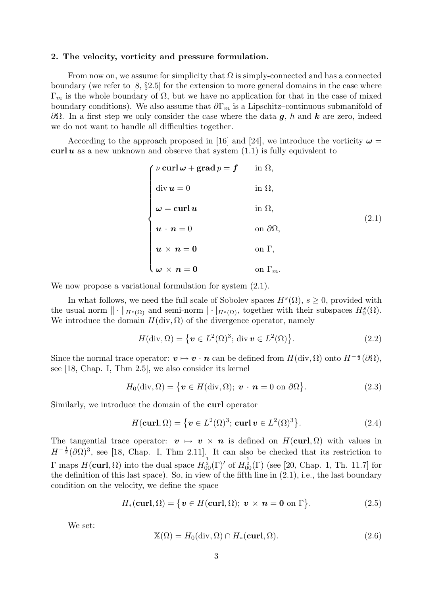#### 2. The velocity, vorticity and pressure formulation.

From now on, we assume for simplicity that  $\Omega$  is simply-connected and has a connected boundary (we refer to [8, §2.5] for the extension to more general domains in the case where  $\Gamma_m$  is the whole boundary of  $\Omega$ , but we have no application for that in the case of mixed boundary conditions). We also assume that  $\partial \Gamma_m$  is a Lipschitz–continuous submanifold of  $\partial Ω$ . In a first step we only consider the case where the data g, h and k are zero, indeed we do not want to handle all difficulties together.

According to the approach proposed in [16] and [24], we introduce the vorticity  $\omega =$ curl  $u$  as a new unknown and observe that system  $(1.1)$  is fully equivalent to

| $\int \nu\, \mathrm{curl}\, \omega + \mathrm{grad}\, p = f$    | in $\Omega$ ,         |       |
|----------------------------------------------------------------|-----------------------|-------|
| $\mathrm{div}\,\boldsymbol{u}=0$                               | in $\Omega$ ,         |       |
| $\omega = \text{curl } u$                                      | in $\Omega$ ,         | (2.1) |
| $\boldsymbol{u}\,\cdot\,\boldsymbol{n}=0$                      | on $\partial\Omega$ , |       |
| $u \times n = 0$                                               | on $\Gamma$ ,         |       |
| \ $\boldsymbol{\omega} \times \boldsymbol{n} = \boldsymbol{0}$ | on $\Gamma_m$ .       |       |

We now propose a variational formulation for system  $(2.1)$ .

In what follows, we need the full scale of Sobolev spaces  $H^s(\Omega)$ ,  $s \geq 0$ , provided with the usual norm  $\|\cdot\|_{H^s(\Omega)}$  and semi-norm  $|\cdot|_{H^s(\Omega)}$ , together with their subspaces  $H_0^s(\Omega)$ . We introduce the domain  $H(\text{div}, \Omega)$  of the divergence operator, namely

$$
H(\text{div}, \Omega) = \{ \boldsymbol{v} \in L^2(\Omega)^3; \text{ div } \boldsymbol{v} \in L^2(\Omega) \}. \tag{2.2}
$$

Since the normal trace operator:  $v \mapsto v \cdot n$  can be defined from  $H(\text{div}, \Omega)$  onto  $H^{-\frac{1}{2}}(\partial \Omega)$ , see [18, Chap. I, Thm 2.5], we also consider its kernel

$$
H_0(\text{div}, \Omega) = \{ \boldsymbol{v} \in H(\text{div}, \Omega); \ \boldsymbol{v} \cdot \boldsymbol{n} = 0 \text{ on } \partial \Omega \}.
$$
 (2.3)

Similarly, we introduce the domain of the curl operator

$$
H(\mathbf{curl}, \Omega) = \{ \mathbf{v} \in L^2(\Omega)^3; \mathbf{curl} \mathbf{v} \in L^2(\Omega)^3 \}. \tag{2.4}
$$

The tangential trace operator:  $\mathbf{v} \mapsto \mathbf{v} \times \mathbf{n}$  is defined on  $H(\text{curl}, \Omega)$  with values in  $H^{-\frac{1}{2}}(\partial\Omega)^3$ , see [18, Chap. I, Thm 2.11]. It can also be checked that its restriction to  $\Gamma$  maps  $H(\text{curl}, \Omega)$  into the dual space  $H_{00}^{\frac{1}{2}}(\Gamma)'$  of  $H_{00}^{\frac{1}{2}}(\Gamma)$  (see [20, Chap. 1, Th. 11.7] for the definition of this last space). So, in view of the fifth line in (2.1), i.e., the last boundary condition on the velocity, we define the space

$$
H_*(\text{curl}, \Omega) = \{ \mathbf{v} \in H(\text{curl}, \Omega); \ \mathbf{v} \times \mathbf{n} = \mathbf{0} \text{ on } \Gamma \}. \tag{2.5}
$$

We set:

$$
\mathbb{X}(\Omega) = H_0(\text{div}, \Omega) \cap H_*(\text{curl}, \Omega).
$$
 (2.6)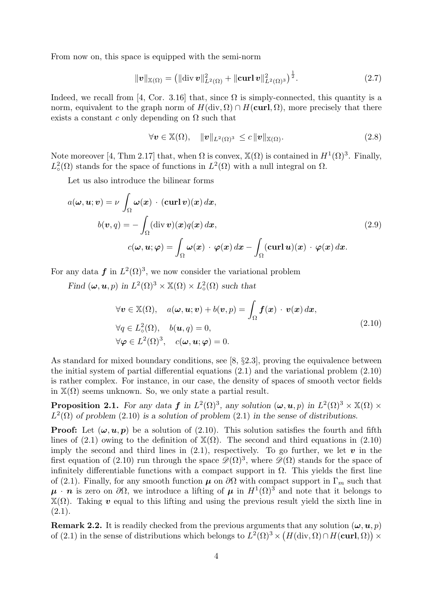From now on, this space is equipped with the semi-norm

$$
\|\mathbf{v}\|_{\mathbb{X}(\Omega)} = \left(\|\text{div}\,\mathbf{v}\|_{L^2(\Omega)}^2 + \|\text{curl}\,\mathbf{v}\|_{L^2(\Omega)^3}^2\right)^{\frac{1}{2}}.\tag{2.7}
$$

Indeed, we recall from [4, Cor. 3.16] that, since  $\Omega$  is simply-connected, this quantity is a norm, equivalent to the graph norm of  $H(\text{div}, \Omega) \cap H(\text{curl}, \Omega)$ , more precisely that there exists a constant c only depending on  $\Omega$  such that

$$
\forall \mathbf{v} \in \mathbb{X}(\Omega), \quad \|\mathbf{v}\|_{L^2(\Omega)^3} \leq c \|\mathbf{v}\|_{\mathbb{X}(\Omega)}.
$$
 (2.8)

Note moreover [4, Thm 2.17] that, when  $\Omega$  is convex,  $\mathbb{X}(\Omega)$  is contained in  $H^1(\Omega)^3$ . Finally,  $L^2(\Omega)$  stands for the space of functions in  $L^2(\Omega)$  with a null integral on  $\Omega$ .

Let us also introduce the bilinear forms

$$
a(\omega, \mathbf{u}; \mathbf{v}) = \nu \int_{\Omega} \omega(\mathbf{x}) \cdot (\text{curl } \mathbf{v})(\mathbf{x}) d\mathbf{x},
$$
  
\n
$$
b(\mathbf{v}, q) = -\int_{\Omega} (\text{div } \mathbf{v})(\mathbf{x}) q(\mathbf{x}) d\mathbf{x},
$$
  
\n
$$
c(\omega, \mathbf{u}; \varphi) = \int_{\Omega} \omega(\mathbf{x}) \cdot \varphi(\mathbf{x}) d\mathbf{x} - \int_{\Omega} (\text{curl } \mathbf{u})(\mathbf{x}) \cdot \varphi(\mathbf{x}) d\mathbf{x}.
$$
\n(2.9)

For any data  $f$  in  $L^2(\Omega)^3$ , we now consider the variational problem

Find  $(\omega, \mathbf{u}, p)$  in  $L^2(\Omega)^3 \times \mathbb{X}(\Omega) \times L^2_{\circ}(\Omega)$  such that

$$
\forall \mathbf{v} \in \mathbb{X}(\Omega), \quad a(\boldsymbol{\omega}, \boldsymbol{u}; \boldsymbol{v}) + b(\boldsymbol{v}, p) = \int_{\Omega} \boldsymbol{f}(\boldsymbol{x}) \cdot \boldsymbol{v}(\boldsymbol{x}) d\boldsymbol{x},
$$
  
\n
$$
\forall q \in L^2(\Omega), \quad b(\boldsymbol{u}, q) = 0,
$$
  
\n
$$
\forall \boldsymbol{\varphi} \in L^2(\Omega)^3, \quad c(\boldsymbol{\omega}, \boldsymbol{u}; \boldsymbol{\varphi}) = 0.
$$
\n(2.10)

As standard for mixed boundary conditions, see [8, §2.3], proving the equivalence between the initial system of partial differential equations (2.1) and the variational problem (2.10) is rather complex. For instance, in our case, the density of spaces of smooth vector fields in  $\mathbb{X}(\Omega)$  seems unknown. So, we only state a partial result.

**Proposition 2.1.** For any data f in  $L^2(\Omega)^3$ , any solution  $(\omega, \mathbf{u}, p)$  in  $L^2(\Omega)^3 \times \mathbb{X}(\Omega) \times$  $L^2(\Omega)$  of problem (2.10) is a solution of problem (2.1) in the sense of distributions.

**Proof:** Let  $(\omega, u, p)$  be a solution of (2.10). This solution satisfies the fourth and fifth lines of (2.1) owing to the definition of  $\mathbb{X}(\Omega)$ . The second and third equations in (2.10) imply the second and third lines in  $(2.1)$ , respectively. To go further, we let v in the first equation of (2.10) run through the space  $\mathscr{D}(\Omega)^3$ , where  $\mathscr{D}(\Omega)$  stands for the space of infinitely differentiable functions with a compact support in  $\Omega$ . This yields the first line of (2.1). Finally, for any smooth function  $\mu$  on  $\partial\Omega$  with compact support in  $\Gamma_m$  such that  $\mu \cdot n$  is zero on  $\partial\Omega$ , we introduce a lifting of  $\mu$  in  $H^1(\Omega)^3$  and note that it belongs to  $\mathbb{X}(Ω)$ . Taking v equal to this lifting and using the previous result yield the sixth line in  $(2.1).$ 

**Remark 2.2.** It is readily checked from the previous arguments that any solution  $(\omega, u, p)$ of (2.1) in the sense of distributions which belongs to  $L^2(\Omega)^3 \times (H(\text{div}, \Omega) \cap H(\text{curl}, \Omega)) \times$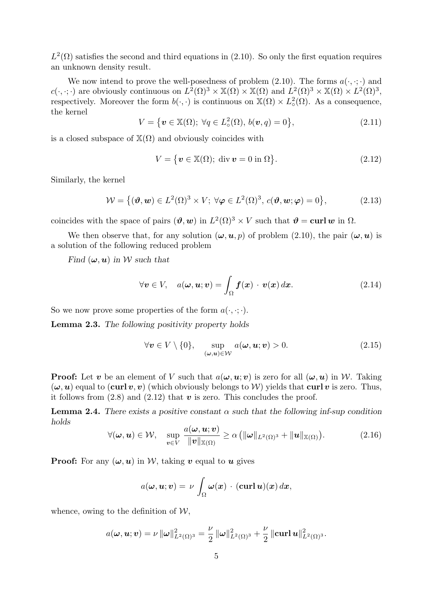$L^2(\Omega)$  satisfies the second and third equations in (2.10). So only the first equation requires an unknown density result.

We now intend to prove the well-posedness of problem (2.10). The forms  $a(\cdot, \cdot; \cdot)$  and  $c(\cdot,\cdot;\cdot)$  are obviously continuous on  $L^2(\Omega)^3 \times \mathbb{X}(\Omega) \times \mathbb{X}(\Omega)$  and  $L^2(\Omega)^3 \times \mathbb{X}(\Omega) \times L^2(\Omega)^3$ , respectively. Moreover the form  $b(\cdot, \cdot)$  is continuous on  $\mathbb{X}(\Omega) \times L^2_{\circ}(\Omega)$ . As a consequence, the kernel

$$
V = \{ \boldsymbol{v} \in \mathbb{X}(\Omega); \ \forall q \in L^2_{\circ}(\Omega), \ b(\boldsymbol{v}, q) = 0 \},
$$
\n(2.11)

is a closed subspace of  $\mathbb{X}(\Omega)$  and obviously coincides with

$$
V = \{ \boldsymbol{v} \in \mathbb{X}(\Omega); \text{ div } \boldsymbol{v} = 0 \text{ in } \Omega \}. \tag{2.12}
$$

Similarly, the kernel

$$
\mathcal{W} = \{(\boldsymbol{\vartheta}, \boldsymbol{w}) \in L^2(\Omega)^3 \times V; \ \forall \boldsymbol{\varphi} \in L^2(\Omega)^3, \ c(\boldsymbol{\vartheta}, \boldsymbol{w}; \boldsymbol{\varphi}) = 0\},\tag{2.13}
$$

coincides with the space of pairs  $(\theta, w)$  in  $L^2(\Omega)^3 \times V$  such that  $\theta = \text{curl } w$  in  $\Omega$ .

We then observe that, for any solution  $(\omega, \mathbf{u}, p)$  of problem (2.10), the pair  $(\omega, \mathbf{u})$  is a solution of the following reduced problem

Find  $(\omega, \mathbf{u})$  in W such that

$$
\forall \mathbf{v} \in V, \quad a(\boldsymbol{\omega}, \boldsymbol{u}; \boldsymbol{v}) = \int_{\Omega} \boldsymbol{f}(\boldsymbol{x}) \cdot \boldsymbol{v}(\boldsymbol{x}) \, d\boldsymbol{x}.
$$
 (2.14)

So we now prove some properties of the form  $a(\cdot, \cdot; \cdot)$ .

Lemma 2.3. The following positivity property holds

$$
\forall \mathbf{v} \in V \setminus \{0\}, \quad \sup_{(\boldsymbol{\omega}, \boldsymbol{u}) \in \mathcal{W}} a(\boldsymbol{\omega}, \boldsymbol{u}; \boldsymbol{v}) > 0. \tag{2.15}
$$

**Proof:** Let v be an element of V such that  $a(\omega, u; v)$  is zero for all  $(\omega, u)$  in W. Taking  $(\omega, u)$  equal to (curl v, v) (which obviously belongs to W) yields that curl v is zero. Thus, it follows from  $(2.8)$  and  $(2.12)$  that v is zero. This concludes the proof.

**Lemma 2.4.** There exists a positive constant  $\alpha$  such that the following inf-sup condition holds

$$
\forall (\boldsymbol{\omega}, \boldsymbol{u}) \in \mathcal{W}, \quad \sup_{\boldsymbol{v} \in V} \frac{a(\boldsymbol{\omega}, \boldsymbol{u}; \boldsymbol{v})}{\|\boldsymbol{v}\|_{\mathbb{X}(\Omega)}} \ge \alpha \left( \|\boldsymbol{\omega}\|_{L^2(\Omega)^3} + \|\boldsymbol{u}\|_{\mathbb{X}(\Omega)} \right). \tag{2.16}
$$

**Proof:** For any  $(\omega, u)$  in W, taking v equal to u gives

$$
a(\boldsymbol{\omega}, \boldsymbol{u}; \boldsymbol{v}) = \nu \int_{\Omega} \boldsymbol{\omega}(\boldsymbol{x}) \cdot (\boldsymbol{\operatorname{curl}} \, \boldsymbol{u})(\boldsymbol{x}) \, d\boldsymbol{x},
$$

whence, owing to the definition of  $W$ ,

$$
a(\boldsymbol{\omega}, \boldsymbol{u}; \boldsymbol{v}) = \nu \, \|\boldsymbol{\omega}\|_{L^2(\Omega)^3}^2 = \frac{\nu}{2} \, \|\boldsymbol{\omega}\|_{L^2(\Omega)^3}^2 + \frac{\nu}{2} \, \|\boldsymbol{\mathrm{curl}} \, \boldsymbol{u}\|_{L^2(\Omega)^3}^2.
$$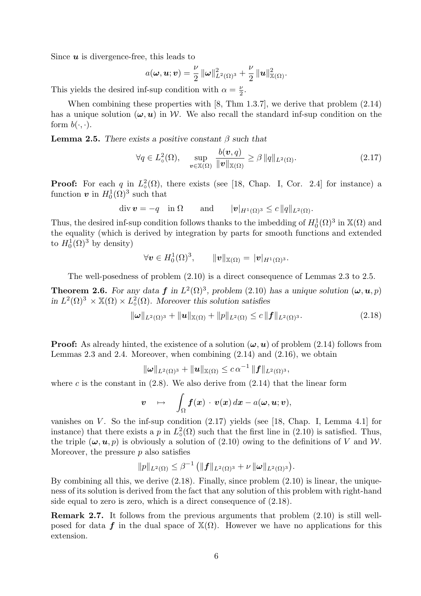Since  $\boldsymbol{u}$  is divergence-free, this leads to

$$
a(\boldsymbol{\omega}, \boldsymbol{u}; \boldsymbol{v}) = \frac{\nu}{2} \|\boldsymbol{\omega}\|_{L^2(\Omega)^3}^2 + \frac{\nu}{2} \|\boldsymbol{u}\|_{\mathbb{X}(\Omega)}^2.
$$

This yields the desired inf-sup condition with  $\alpha = \frac{\nu}{2}$  $\frac{\nu}{2}$ .

When combining these properties with [8, Thm 1.3.7], we derive that problem (2.14) has a unique solution  $(\omega, u)$  in W. We also recall the standard inf-sup condition on the form  $b(\cdot, \cdot)$ .

**Lemma 2.5.** There exists a positive constant  $\beta$  such that

$$
\forall q \in L^2_{\circ}(\Omega), \quad \sup_{\boldsymbol{v} \in \mathbb{X}(\Omega)} \frac{b(\boldsymbol{v}, q)}{\|\boldsymbol{v}\|_{\mathbb{X}(\Omega)}} \ge \beta \, \|q\|_{L^2(\Omega)}.
$$
 (2.17)

**Proof:** For each q in  $L^2_{\circ}(\Omega)$ , there exists (see [18, Chap. I, Cor. 2.4] for instance) a function  $\boldsymbol{v}$  in  $H_0^1(\Omega)^3$  such that

$$
\operatorname{div} \boldsymbol{v} = -q \quad \text{in } \Omega \qquad \text{and} \qquad |\boldsymbol{v}|_{H^1(\Omega)^3} \leq c \, \|q\|_{L^2(\Omega)}.
$$

Thus, the desired inf-sup condition follows thanks to the imbedding of  $H_0^1(\Omega)^3$  in  $\mathbb{X}(\Omega)$  and the equality (which is derived by integration by parts for smooth functions and extended to  $H_0^1(\Omega)^3$  by density)

$$
\forall \boldsymbol v \in H^1_0(\Omega)^3, \qquad \|\boldsymbol v\|_{\mathbb{X}(\Omega)} = \|\boldsymbol v|_{H^1(\Omega)^3}.
$$

The well-posedness of problem (2.10) is a direct consequence of Lemmas 2.3 to 2.5.

**Theorem 2.6.** For any data f in  $L^2(\Omega)^3$ , problem (2.10) has a unique solution  $(\omega, \mathbf{u}, p)$ in  $L^2(\Omega)^3 \times \mathbb{X}(\Omega) \times L^2_{\circ}(\Omega)$ . Moreover this solution satisfies

$$
\|\omega\|_{L^2(\Omega)^3} + \|u\|_{\mathbb{X}(\Omega)} + \|p\|_{L^2(\Omega)} \le c \|f\|_{L^2(\Omega)^3}.
$$
\n(2.18)

**Proof:** As already hinted, the existence of a solution  $(\omega, u)$  of problem (2.14) follows from Lemmas 2.3 and 2.4. Moreover, when combining  $(2.14)$  and  $(2.16)$ , we obtain

$$
\|\omega\|_{L^2(\Omega)^3} + \|u\|_{\mathbb{X}(\Omega)} \leq c \, \alpha^{-1} \, \|f\|_{L^2(\Omega)^3},
$$

where c is the constant in  $(2.8)$ . We also derive from  $(2.14)$  that the linear form

$$
\boldsymbol{v} \quad \mapsto \quad \int_{\Omega} \boldsymbol{f}(\boldsymbol{x}) \, \cdot \, \boldsymbol{v}(\boldsymbol{x}) \, d \boldsymbol{x} - a(\boldsymbol{\omega}, \boldsymbol{u}; \boldsymbol{v}),
$$

vanishes on  $V$ . So the inf-sup condition  $(2.17)$  yields (see [18, Chap. I, Lemma 4.1] for instance) that there exists a p in  $L^2_{\circ}(\Omega)$  such that the first line in (2.10) is satisfied. Thus, the triple  $(\omega, \mathbf{u}, p)$  is obviously a solution of (2.10) owing to the definitions of V and W. Moreover, the pressure  $p$  also satisfies

$$
||p||_{L^2(\Omega)} \leq \beta^{-1} (||f||_{L^2(\Omega)^3} + \nu ||\omega||_{L^2(\Omega)^3}).
$$

By combining all this, we derive  $(2.18)$ . Finally, since problem  $(2.10)$  is linear, the uniqueness of its solution is derived from the fact that any solution of this problem with right-hand side equal to zero is zero, which is a direct consequence of (2.18).

Remark 2.7. It follows from the previous arguments that problem (2.10) is still wellposed for data f in the dual space of  $\mathbb{X}(\Omega)$ . However we have no applications for this extension.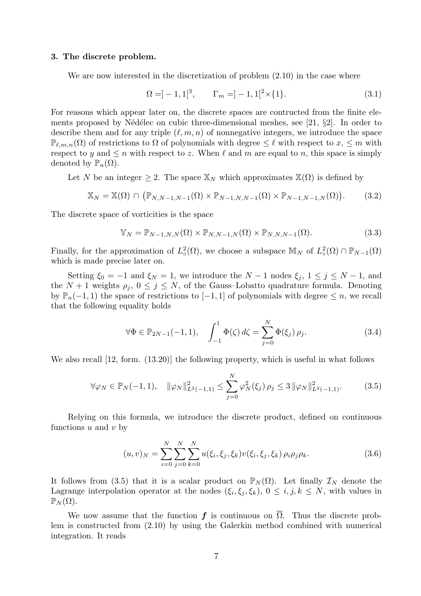# 3. The discrete problem.

We are now interested in the discretization of problem (2.10) in the case where

$$
\Omega = ]-1,1[^3, \qquad \Gamma_m = ]-1,1[^2 \times \{1\}.
$$
\n(3.1)

For reasons which appear later on, the discrete spaces are contructed from the finite elements proposed by Nédélec on cubic three-dimensional meshes, see [21,  $\S$ 2]. In order to describe them and for any triple  $(\ell, m, n)$  of nonnegative integers, we introduce the space  $\mathbb{P}_{\ell,m,n}(\Omega)$  of restrictions to  $\Omega$  of polynomials with degree  $\leq \ell$  with respect to  $x, \leq m$  with respect to y and  $\leq n$  with respect to z. When  $\ell$  and m are equal to n, this space is simply denoted by  $\mathbb{P}_n(\Omega)$ .

Let N be an integer  $\geq 2$ . The space  $\mathbb{X}_N$  which approximates  $\mathbb{X}(\Omega)$  is defined by

$$
\mathbb{X}_N = \mathbb{X}(\Omega) \cap (\mathbb{P}_{N,N-1,N-1}(\Omega) \times \mathbb{P}_{N-1,N,N-1}(\Omega) \times \mathbb{P}_{N-1,N-1,N}(\Omega)). \tag{3.2}
$$

The discrete space of vorticities is the space

$$
\mathbb{Y}_N = \mathbb{P}_{N-1,N,N}(\Omega) \times \mathbb{P}_{N,N-1,N}(\Omega) \times \mathbb{P}_{N,N,N-1}(\Omega).
$$
\n(3.3)

Finally, for the approximation of  $L^2_{\circ}(\Omega)$ , we choose a subspace  $\mathbb{M}_N$  of  $L^2_{\circ}(\Omega) \cap \mathbb{P}_{N-1}(\Omega)$ which is made precise later on.

Setting  $\xi_0 = -1$  and  $\xi_N = 1$ , we introduce the  $N - 1$  nodes  $\xi_j$ ,  $1 \le j \le N - 1$ , and the  $N + 1$  weights  $\rho_j$ ,  $0 \le j \le N$ , of the Gauss-Lobatto quadrature formula. Denoting by  $\mathbb{P}_n(-1,1)$  the space of restrictions to  $[-1,1]$  of polynomials with degree  $\leq n$ , we recall that the following equality holds

$$
\forall \Phi \in \mathbb{P}_{2N-1}(-1,1), \quad \int_{-1}^{1} \Phi(\zeta) \, d\zeta = \sum_{j=0}^{N} \Phi(\xi_j) \, \rho_j. \tag{3.4}
$$

We also recall [12, form. (13.20)] the following property, which is useful in what follows

$$
\forall \varphi_N \in \mathbb{P}_N(-1,1), \quad \|\varphi_N\|_{L^2(-1,1)}^2 \le \sum_{j=0}^N \varphi_N^2(\xi_j) \, \rho_j \le 3 \, \|\varphi_N\|_{L^2(-1,1)}^2. \tag{3.5}
$$

Relying on this formula, we introduce the discrete product, defined on continuous functions  $u$  and  $v$  by

$$
(u,v)_N = \sum_{i=0}^N \sum_{j=0}^N \sum_{k=0}^N u(\xi_i, \xi_j, \xi_k) v(\xi_i, \xi_j, \xi_k) \rho_i \rho_j \rho_k.
$$
 (3.6)

It follows from (3.5) that it is a scalar product on  $\mathbb{P}_N(\Omega)$ . Let finally  $\mathcal{I}_N$  denote the Lagrange interpolation operator at the nodes  $(\xi_i, \xi_j, \xi_k)$ ,  $0 \leq i, j, k \leq N$ , with values in  $\mathbb{P}_N(\Omega)$ .

We now assume that the function f is continuous on  $\overline{\Omega}$ . Thus the discrete problem is constructed from (2.10) by using the Galerkin method combined with numerical integration. It reads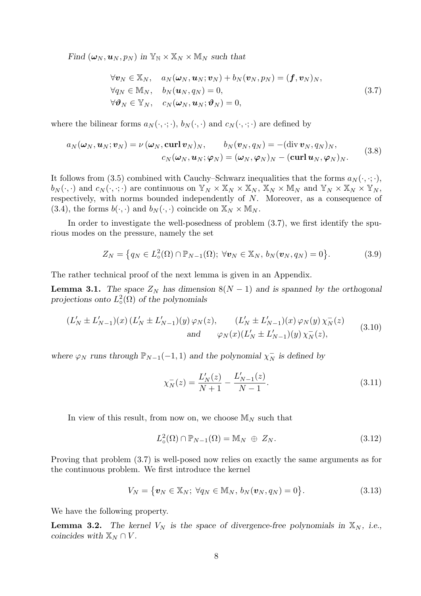Find  $(\boldsymbol{\omega}_N, \boldsymbol{u}_N, p_N)$  in  $\mathbb{Y}_N \times \mathbb{X}_N \times \mathbb{M}_N$  such that

$$
\forall \mathbf{v}_N \in \mathbb{X}_N, \quad a_N(\boldsymbol{\omega}_N, \boldsymbol{u}_N; \boldsymbol{v}_N) + b_N(\boldsymbol{v}_N, p_N) = (\boldsymbol{f}, \boldsymbol{v}_N)_N, \n\forall q_N \in \mathbb{M}_N, \quad b_N(\boldsymbol{u}_N, q_N) = 0, \n\forall \boldsymbol{\vartheta}_N \in \mathbb{Y}_N, \quad c_N(\boldsymbol{\omega}_N, \boldsymbol{u}_N; \boldsymbol{\vartheta}_N) = 0,
$$
\n(3.7)

where the bilinear forms  $a_N(\cdot, \cdot; \cdot)$ ,  $b_N(\cdot, \cdot)$  and  $c_N(\cdot, \cdot; \cdot)$  are defined by

$$
a_N(\boldsymbol{\omega}_N, \boldsymbol{u}_N; \boldsymbol{v}_N) = \nu(\boldsymbol{\omega}_N, \text{curl } \boldsymbol{v}_N)_N, \qquad b_N(\boldsymbol{v}_N, q_N) = -(\text{div } \boldsymbol{v}_N, q_N)_N, \nc_N(\boldsymbol{\omega}_N, \boldsymbol{u}_N; \boldsymbol{\varphi}_N) = (\boldsymbol{\omega}_N, \boldsymbol{\varphi}_N)_N - (\text{curl } \boldsymbol{u}_N, \boldsymbol{\varphi}_N)_N.
$$
\n(3.8)

It follows from (3.5) combined with Cauchy–Schwarz inequalities that the forms  $a_N(\cdot, \cdot; \cdot)$ ,  $b_N(\cdot, \cdot)$  and  $c_N(\cdot, \cdot; \cdot)$  are continuous on  $\mathbb{Y}_N \times \mathbb{X}_N \times \mathbb{X}_N$ ,  $\mathbb{X}_N \times \mathbb{M}_N$  and  $\mathbb{Y}_N \times \mathbb{X}_N \times \mathbb{Y}_N$ , respectively, with norms bounded independently of N. Moreover, as a consequence of  $(3.4)$ , the forms  $b(\cdot, \cdot)$  and  $b_N(\cdot, \cdot)$  coincide on  $\mathbb{X}_N \times \mathbb{M}_N$ .

In order to investigate the well-posedness of problem  $(3.7)$ , we first identify the spurious modes on the pressure, namely the set

$$
Z_N = \left\{ q_N \in L^2(\Omega) \cap \mathbb{P}_{N-1}(\Omega); \ \forall \boldsymbol{v}_N \in \mathbb{X}_N, \ b_N(\boldsymbol{v}_N, q_N) = 0 \right\}.
$$
 (3.9)

The rather technical proof of the next lemma is given in an Appendix.

**Lemma 3.1.** The space  $Z_N$  has dimension  $8(N-1)$  and is spanned by the orthogonal projections onto  $L^2_{\circ}(\Omega)$  of the polynomials

$$
(L'_{N} \pm L'_{N-1})(x) (L'_{N} \pm L'_{N-1})(y) \varphi_{N}(z), \qquad (L'_{N} \pm L'_{N-1})(x) \varphi_{N}(y) \chi_{N}^{-}(z)
$$
  
and 
$$
\varphi_{N}(x) (L'_{N} \pm L'_{N-1})(y) \chi_{N}^{-}(z), \qquad (3.10)
$$

where  $\varphi_N$  runs through  $\mathbb{P}_{N-1}(-1,1)$  and the polynomial  $\chi_N^-$  is defined by

$$
\chi_N^-(z) = \frac{L'_N(z)}{N+1} - \frac{L'_{N-1}(z)}{N-1}.\tag{3.11}
$$

In view of this result, from now on, we choose  $\mathbb{M}_N$  such that

$$
L^2_{\circ}(\Omega) \cap \mathbb{P}_{N-1}(\Omega) = \mathbb{M}_N \oplus Z_N.
$$
\n(3.12)

Proving that problem (3.7) is well-posed now relies on exactly the same arguments as for the continuous problem. We first introduce the kernel

$$
V_N = \{ \boldsymbol{v}_N \in \mathbb{X}_N; \ \forall q_N \in \mathbb{M}_N, \ b_N(\boldsymbol{v}_N, q_N) = 0 \}.
$$
 (3.13)

We have the following property.

**Lemma 3.2.** The kernel  $V_N$  is the space of divergence-free polynomials in  $\mathbb{X}_N$ , i.e., coincides with  $\mathbb{X}_N \cap V$ .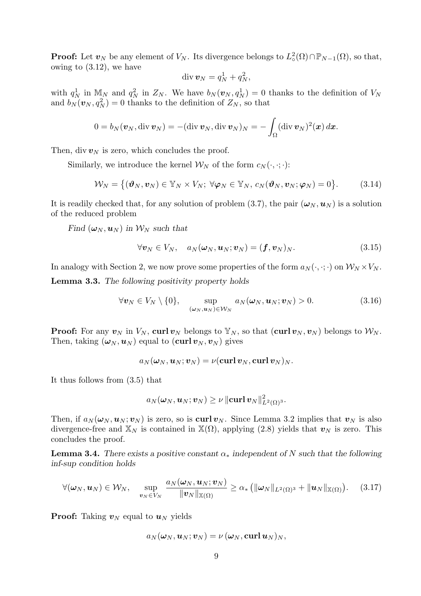**Proof:** Let  $v_N$  be any element of  $V_N$ . Its divergence belongs to  $L^2_o(\Omega) \cap \mathbb{P}_{N-1}(\Omega)$ , so that, owing to (3.12), we have

$$
\operatorname{div} \boldsymbol{v}_N = q_N^1 + q_N^2,
$$

with  $q_N^1$  in  $\mathbb{M}_N$  and  $q_N^2$  in  $Z_N$ . We have  $b_N(\boldsymbol{v}_N, q_N^1) = 0$  thanks to the definition of  $V_N$ and  $b_N(\boldsymbol{v}_N, q_N^2) = 0$  thanks to the definition of  $Z_N$ , so that

$$
0 = b_N(\boldsymbol{v}_N, \operatorname{div} \boldsymbol{v}_N) = -(\operatorname{div} \boldsymbol{v}_N, \operatorname{div} \boldsymbol{v}_N)_N = -\int_{\Omega} (\operatorname{div} \boldsymbol{v}_N)^2(\boldsymbol{x}) \, d\boldsymbol{x}.
$$

Then, div  $v_N$  is zero, which concludes the proof.

Similarly, we introduce the kernel  $\mathcal{W}_N$  of the form  $c_N(\cdot, \cdot; \cdot)$ :

$$
\mathcal{W}_N = \{(\boldsymbol{\vartheta}_N, \boldsymbol{v}_N) \in \mathbb{Y}_N \times V_N; \ \forall \boldsymbol{\varphi}_N \in \mathbb{Y}_N, \ c_N(\boldsymbol{\vartheta}_N, \boldsymbol{v}_N; \boldsymbol{\varphi}_N) = 0\}.
$$
 (3.14)

It is readily checked that, for any solution of problem (3.7), the pair  $(\omega_N, \mathbf{u}_N)$  is a solution of the reduced problem

Find  $(\omega_N, u_N)$  in  $\mathcal{W}_N$  such that

$$
\forall \boldsymbol{v}_N \in V_N, \quad a_N(\boldsymbol{\omega}_N, \boldsymbol{u}_N; \boldsymbol{v}_N) = (\boldsymbol{f}, \boldsymbol{v}_N)_N. \tag{3.15}
$$

In analogy with Section 2, we now prove some properties of the form  $a_N(\cdot, \cdot; \cdot)$  on  $W_N \times V_N$ .

Lemma 3.3. The following positivity property holds

$$
\forall \mathbf{v}_N \in V_N \setminus \{0\}, \quad \sup_{(\boldsymbol{\omega}_N, \boldsymbol{u}_N) \in \mathcal{W}_N} a_N(\boldsymbol{\omega}_N, \boldsymbol{u}_N; \boldsymbol{v}_N) > 0. \tag{3.16}
$$

**Proof:** For any  $v_N$  in  $V_N$ , curl  $v_N$  belongs to  $\mathbb{Y}_N$ , so that  $(\text{curl } v_N, v_N)$  belongs to  $\mathcal{W}_N$ . Then, taking  $(\boldsymbol{\omega}_N, \boldsymbol{u}_N)$  equal to  $(\boldsymbol{\mathrm{curl}} \boldsymbol{v}_N, \boldsymbol{v}_N)$  gives

$$
a_N(\boldsymbol{\omega}_N,\boldsymbol{u}_N;\boldsymbol{v}_N)=\nu(\boldsymbol{\operatorname{curl}}\,\boldsymbol{v}_N,\boldsymbol{\operatorname{curl}}\,\boldsymbol{v}_N)_N.
$$

It thus follows from (3.5) that

$$
a_N(\boldsymbol{\omega}_N, \boldsymbol{u}_N; \boldsymbol{v}_N) \geq \nu \, \|\boldsymbol{\operatorname{curl}}\,\boldsymbol{v}_N\|_{L^2(\Omega)^3}^2.
$$

Then, if  $a_N(\omega_N, \mathbf{u}_N; \mathbf{v}_N)$  is zero, so is curl  $\mathbf{v}_N$ . Since Lemma 3.2 implies that  $\mathbf{v}_N$  is also divergence-free and  $\mathbb{X}_N$  is contained in  $\mathbb{X}(\Omega)$ , applying (2.8) yields that  $v_N$  is zero. This concludes the proof.

**Lemma 3.4.** There exists a positive constant  $\alpha_*$  independent of N such that the following inf-sup condition holds

$$
\forall (\boldsymbol{\omega}_N, \boldsymbol{u}_N) \in \mathcal{W}_N, \quad \sup_{\boldsymbol{v}_N \in V_N} \frac{a_N(\boldsymbol{\omega}_N, \boldsymbol{u}_N; \boldsymbol{v}_N)}{\|\boldsymbol{v}_N\|_{\mathbb{X}(\Omega)}} \ge \alpha_* \left( \|\boldsymbol{\omega}_N\|_{L^2(\Omega)^3} + \|\boldsymbol{u}_N\|_{\mathbb{X}(\Omega)} \right). \tag{3.17}
$$

**Proof:** Taking  $v_N$  equal to  $u_N$  yields

$$
a_N(\boldsymbol{\omega}_N, \boldsymbol{u}_N; \boldsymbol{v}_N) = \nu\, (\boldsymbol{\omega}_N, \boldsymbol{\mathrm{curl}}\, \boldsymbol{u}_N)_N,
$$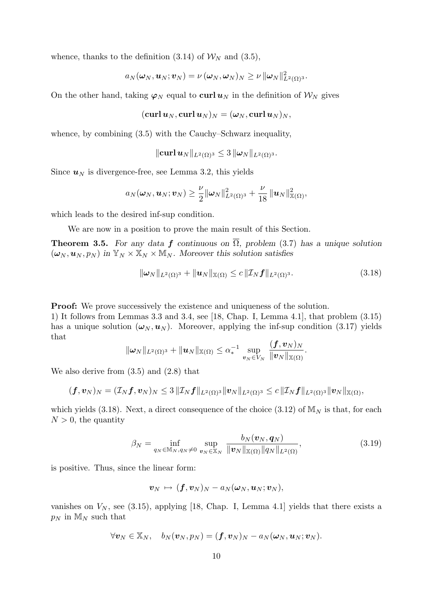whence, thanks to the definition (3.14) of  $\mathcal{W}_N$  and (3.5),

$$
a_N({\boldsymbol\omega}_N,{\boldsymbol u}_N;{\boldsymbol v}_N)=\nu\,({\boldsymbol\omega}_N,{\boldsymbol\omega}_N)_N\geq \nu\,\|{\boldsymbol\omega}_N\|_{L^2(\Omega)^3}^2.
$$

On the other hand, taking  $\varphi_N$  equal to curl  $u_N$  in the definition of  $\mathcal{W}_N$  gives

$$
(\operatorname{\mathbf{curl}}\boldsymbol{u}_N,\operatorname{\mathbf{curl}}\boldsymbol{u}_N)_N=(\boldsymbol{\omega}_N,\operatorname{\mathbf{curl}}\boldsymbol{u}_N)_N,
$$

whence, by combining  $(3.5)$  with the Cauchy–Schwarz inequality,

$$
\|\mathbf{curl}\,\boldsymbol{u}_N\|_{L^2(\Omega)^3}\leq 3\,\|\boldsymbol{\omega}_N\|_{L^2(\Omega)^3}.
$$

Since  $u_N$  is divergence-free, see Lemma 3.2, this yields

$$
a_N(\boldsymbol{\omega}_N,\boldsymbol{u}_N;\boldsymbol{v}_N)\geq \frac{\nu}{2}\|\boldsymbol{\omega}_N\|_{L^2(\Omega)^3}^2+\frac{\nu}{18}\|\boldsymbol{u}_N\|_{\mathbb{X}(\Omega)}^2,
$$

which leads to the desired inf-sup condition.

We are now in a position to prove the main result of this Section.

**Theorem 3.5.** For any data f continuous on  $\overline{\Omega}$ , problem (3.7) has a unique solution  $(\omega_N, \mathbf{u}_N, p_N)$  in  $\mathbb{Y}_N \times \mathbb{X}_N \times \mathbb{M}_N$ . Moreover this solution satisfies

$$
\|\boldsymbol{\omega}_N\|_{L^2(\Omega)^3} + \|\boldsymbol{u}_N\|_{\mathbb{X}(\Omega)} \le c \|\mathcal{I}_N \boldsymbol{f}\|_{L^2(\Omega)^3}.
$$
\n(3.18)

Proof: We prove successively the existence and uniqueness of the solution.

1) It follows from Lemmas 3.3 and 3.4, see [18, Chap. I, Lemma 4.1], that problem (3.15) has a unique solution  $(\omega_N, u_N)$ . Moreover, applying the inf-sup condition (3.17) yields that

$$
\|\boldsymbol{\omega}_N\|_{L^2(\Omega)^3} + \|\boldsymbol{u}_N\|_{\mathbb{X}(\Omega)} \leq \alpha_*^{-1} \sup_{\boldsymbol{v}_N \in V_N} \frac{(\boldsymbol{f}, \boldsymbol{v}_N)_N}{\|\boldsymbol{v}_N\|_{\mathbb{X}(\Omega)}}.
$$

We also derive from (3.5) and (2.8) that

$$
(\boldsymbol{f},\boldsymbol{v}_N)_N=(\mathcal{I}_N\boldsymbol{f},\boldsymbol{v}_N)_N\leq 3\,\|\mathcal{I}_N\boldsymbol{f}\|_{L^2(\Omega)^3}\|\boldsymbol{v}_N\|_{L^2(\Omega)^3}\leq c\,\|\mathcal{I}_N\boldsymbol{f}\|_{L^2(\Omega)^3}\|\boldsymbol{v}_N\|_{\mathbb{X}(\Omega)},
$$

which yields (3.18). Next, a direct consequence of the choice (3.12) of  $\mathbb{M}_N$  is that, for each  $N > 0$ , the quantity

$$
\beta_N = \inf_{q_N \in \mathbb{M}_N, q_N \neq 0} \sup_{\mathbf{v}_N \in \mathbb{X}_N} \frac{b_N(\mathbf{v}_N, \mathbf{q}_N)}{\|\mathbf{v}_N\|_{\mathbb{X}(\Omega)} \|\mathbf{q}_N\|_{L^2(\Omega)}},
$$
(3.19)

is positive. Thus, since the linear form:

$$
\boldsymbol{v}_N \, \mapsto \, (\boldsymbol{f}, \boldsymbol{v}_N)_N - a_N(\boldsymbol{\omega}_N, \boldsymbol{u}_N; \boldsymbol{v}_N),
$$

vanishes on  $V_N$ , see (3.15), applying [18, Chap. I, Lemma 4.1] yields that there exists a  $p_N$  in  $\mathbb{M}_N$  such that

$$
\forall \boldsymbol{v}_N \in \mathbb{X}_N, \quad b_N(\boldsymbol{v}_N,p_N) = (\boldsymbol{f}, \boldsymbol{v}_N)_N - a_N(\boldsymbol{\omega}_N,\boldsymbol{u}_N;\boldsymbol{v}_N).
$$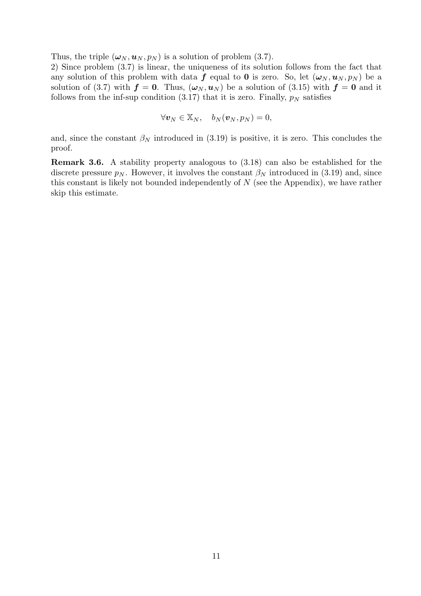Thus, the triple  $(\omega_N, \mathbf{u}_N, p_N)$  is a solution of problem (3.7).

2) Since problem (3.7) is linear, the uniqueness of its solution follows from the fact that any solution of this problem with data f equal to 0 is zero. So, let  $(\omega_N, u_N, p_N)$  be a solution of (3.7) with  $f = 0$ . Thus,  $(\omega_N, u_N)$  be a solution of (3.15) with  $f = 0$  and it follows from the inf-sup condition  $(3.17)$  that it is zero. Finally,  $p<sub>N</sub>$  satisfies

$$
\forall \boldsymbol{v}_N \in \mathbb{X}_N, \quad b_N(\boldsymbol{v}_N, p_N) = 0,
$$

and, since the constant  $\beta_N$  introduced in (3.19) is positive, it is zero. This concludes the proof.

Remark 3.6. A stability property analogous to (3.18) can also be established for the discrete pressure  $p_N$ . However, it involves the constant  $\beta_N$  introduced in (3.19) and, since this constant is likely not bounded independently of  $N$  (see the Appendix), we have rather skip this estimate.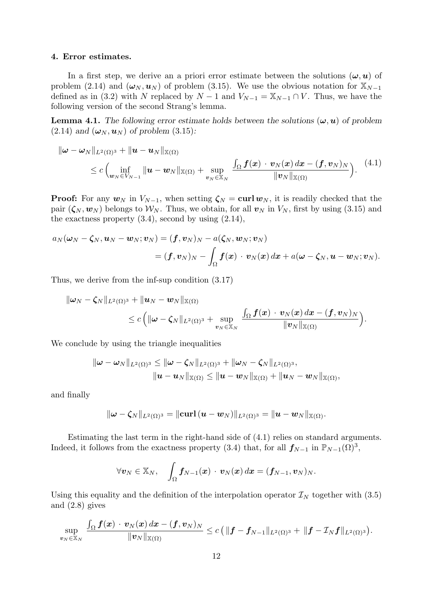#### 4. Error estimates.

In a first step, we derive an a priori error estimate between the solutions  $(\omega, u)$  of problem (2.14) and  $(\omega_N, \mathbf{u}_N)$  of problem (3.15). We use the obvious notation for  $\mathbb{X}_{N-1}$ defined as in (3.2) with N replaced by  $N-1$  and  $V_{N-1} = X_{N-1} \cap V$ . Thus, we have the following version of the second Strang's lemma.

**Lemma 4.1.** The following error estimate holds between the solutions  $(\omega, u)$  of problem  $(2.14)$  and  $(\omega_N, \mathbf{u}_N)$  of problem  $(3.15)$ :

$$
\|\boldsymbol{\omega} - \boldsymbol{\omega}_N\|_{L^2(\Omega)^3} + \|\boldsymbol{u} - \boldsymbol{u}_N\|_{\mathbb{X}(\Omega)} \n\leq c \left( \inf_{\boldsymbol{w}_N \in V_{N-1}} \|\boldsymbol{u} - \boldsymbol{w}_N\|_{\mathbb{X}(\Omega)} + \sup_{\boldsymbol{v}_N \in \mathbb{X}_N} \frac{\int_{\Omega} \boldsymbol{f}(\boldsymbol{x}) \cdot \boldsymbol{v}_N(\boldsymbol{x}) d\boldsymbol{x} - (\boldsymbol{f}, \boldsymbol{v}_N)_N}{\|\boldsymbol{v}_N\|_{\mathbb{X}(\Omega)}} \right). \tag{4.1}
$$

**Proof:** For any  $w_N$  in  $V_{N-1}$ , when setting  $\zeta_N = \text{curl } w_N$ , it is readily checked that the pair  $(\zeta_N, \mathbf{w}_N)$  belongs to  $\mathcal{W}_N$ . Thus, we obtain, for all  $\mathbf{v}_N$  in  $V_N$ , first by using (3.15) and the exactness property  $(3.4)$ , second by using  $(2.14)$ ,

$$
a_N(\boldsymbol{\omega}_N - \boldsymbol{\zeta}_N, \boldsymbol{u}_N - \boldsymbol{w}_N; \boldsymbol{v}_N) = (\boldsymbol{f}, \boldsymbol{v}_N)_N - a(\boldsymbol{\zeta}_N, \boldsymbol{w}_N; \boldsymbol{v}_N) \\ = (\boldsymbol{f}, \boldsymbol{v}_N)_N - \int_{\Omega} \boldsymbol{f}(\boldsymbol{x}) \cdot \boldsymbol{v}_N(\boldsymbol{x}) \, d\boldsymbol{x} + a(\boldsymbol{\omega} - \boldsymbol{\zeta}_N, \boldsymbol{u} - \boldsymbol{w}_N; \boldsymbol{v}_N).
$$

Thus, we derive from the inf-sup condition (3.17)

$$
\begin{aligned} \|\boldsymbol{\omega}_N-\boldsymbol{\zeta}_N\|_{L^2(\Omega)^3}+\|\boldsymbol{u}_N-\boldsymbol{w}_N\|_{\mathbb{X}(\Omega)}\\ &\leq c\,\Big(\|\boldsymbol{\omega}-\boldsymbol{\zeta}_N\|_{L^2(\Omega)^3}+\sup\limits_{\boldsymbol{v}_N\in\mathbb{X}_N}\frac{\int_\Omega \boldsymbol{f}(\boldsymbol{x})\,\cdot\,\boldsymbol{v}_N(\boldsymbol{x})\,d\boldsymbol{x}-(\boldsymbol{f},\boldsymbol{v}_N)_N}{\|\boldsymbol{v}_N\|_{\mathbb{X}(\Omega)}}\Big).\end{aligned}
$$

We conclude by using the triangle inequalities

$$
\begin{aligned} \|\boldsymbol{\omega}-\boldsymbol{\omega}_N\|_{L^2(\Omega)^3} \leq \|\boldsymbol{\omega}-\boldsymbol{\zeta}_N\|_{L^2(\Omega)^3} + \|\boldsymbol{\omega}_N-\boldsymbol{\zeta}_N\|_{L^2(\Omega)^3}, \\ \| \boldsymbol{u}-\boldsymbol{u}_N\|_{\mathbb{X}(\Omega)} \leq \| \boldsymbol{u}-\boldsymbol{w}_N\|_{\mathbb{X}(\Omega)} + \| \boldsymbol{u}_N-\boldsymbol{w}_N\|_{\mathbb{X}(\Omega)}, \end{aligned}
$$

and finally

$$
\|\boldsymbol{\omega}-\boldsymbol{\zeta}_{N}\|_{L^{2}(\Omega)^{3}}=\|\boldsymbol{\mathrm{curl}}\,(\boldsymbol{u}-\boldsymbol{w}_{N})\|_{L^{2}(\Omega)^{3}}=\|\boldsymbol{u}-\boldsymbol{w}_{N}\|_{\mathbb{X}(\Omega)}.
$$

Estimating the last term in the right-hand side of (4.1) relies on standard arguments. Indeed, it follows from the exactness property (3.4) that, for all  $f_{N-1}$  in  $\mathbb{P}_{N-1}(\Omega)^3$ ,

$$
\forall \boldsymbol{v}_N \in \mathbb{X}_N, \quad \int_{\Omega} \boldsymbol{f}_{N-1}(\boldsymbol{x}) \cdot \boldsymbol{v}_N(\boldsymbol{x}) d\boldsymbol{x} = (\boldsymbol{f}_{N-1}, \boldsymbol{v}_N)_N.
$$

Using this equality and the definition of the interpolation operator  $\mathcal{I}_N$  together with (3.5) and (2.8) gives

$$
\sup_{\boldsymbol v_N\in \mathbb{X}_N}\,\frac{\int_\Omega \boldsymbol f(\boldsymbol x)\,\cdot\,\boldsymbol v_N(\boldsymbol x)\,d\boldsymbol x-(\boldsymbol f,\boldsymbol v_N)_N}{\|\boldsymbol v_N\|_{\mathbb{X}(\Omega)}}\le c\,\big(\,\|\boldsymbol f-\boldsymbol f_{N-1}\|_{L^2(\Omega)^3}+\,\|\boldsymbol f-\mathcal I_N\boldsymbol f\|_{L^2(\Omega)^3}\big).
$$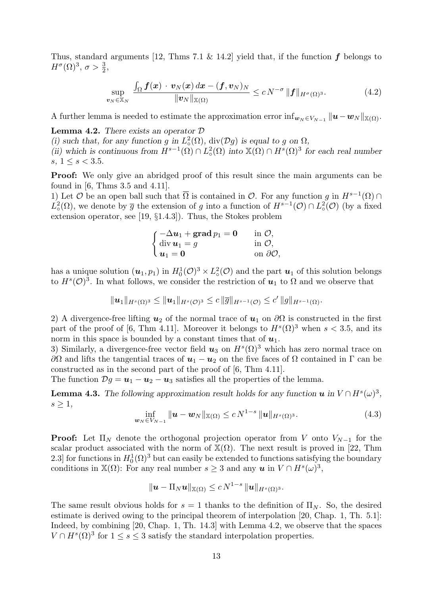Thus, standard arguments [12, Thms 7.1 & 14.2] yield that, if the function  $f$  belongs to  $H^{\sigma}(\Omega)^{3}, \sigma > \frac{3}{2},$ 

$$
\sup_{N \in \mathbb{X}_N} \frac{\int_{\Omega} \boldsymbol{f}(\boldsymbol{x}) \cdot \boldsymbol{v}_N(\boldsymbol{x}) d\boldsymbol{x} - (\boldsymbol{f}, \boldsymbol{v}_N)_N}{\|\boldsymbol{v}_N\|_{\mathbb{X}(\Omega)}} \le c N^{-\sigma} \|\boldsymbol{f}\|_{H^{\sigma}(\Omega)^3}.
$$
\n(4.2)

A further lemma is needed to estimate the approximation error  $\inf_{w_N \in V_{N-1}} ||u - w_N||_{\mathbb{X}(\Omega)}$ .

**Lemma 4.2.** There exists an operator  $\mathcal{D}$ 

 $\boldsymbol{v}$ 

(i) such that, for any function g in  $L^2_{\circ}(\Omega)$ ,  $div(\mathcal{D}g)$  is equal to g on  $\Omega$ , (ii) which is continuous from  $H^{s-1}(\Omega) \cap L^2_{\phi}(\Omega)$  into  $\mathbb{X}(\Omega) \cap H^s(\Omega)^3$  for each real number s,  $1 \le s < 3.5$ .

**Proof:** We only give an abridged proof of this result since the main arguments can be found in [6, Thms 3.5 and 4.11].

1) Let  $\mathcal O$  be an open ball such that  $\overline{\Omega}$  is contained in  $\mathcal O$ . For any function g in  $H^{s-1}(\Omega) \cap$  $L^2_{\circ}(\Omega)$ , we denote by  $\bar{g}$  the extension of g into a function of  $H^{s-1}(\mathcal{O}) \cap L^2_{\circ}(\mathcal{O})$  (by a fixed extension operator, see [19, §1.4.3]). Thus, the Stokes problem

| $\int -\Delta u_1 + \operatorname{grad} v_1 = 0$ | in $\mathcal{O}$ ,        |
|--------------------------------------------------|---------------------------|
| $\langle \text{ div } u_1 = g \rangle$           | in $\mathcal{O},$         |
| $u_1=0$                                          | on $\partial\mathcal{O},$ |

has a unique solution  $(u_1, p_1)$  in  $H_0^1(\mathcal{O})^3 \times L^2_{\circ}(\mathcal{O})$  and the part  $u_1$  of this solution belongs to  $H^s(\mathcal{O})^3$ . In what follows, we consider the restriction of  $u_1$  to  $\Omega$  and we observe that

$$
\|\bm{u}_1\|_{H^s(\Omega)^3}\leq \|\bm{u}_1\|_{H^s(\mathcal{O})^3}\leq c\,\|\overline{g}\|_{H^{s-1}(\mathcal{O})}\leq c'\,\|g\|_{H^{s-1}(\Omega)}.
$$

2) A divergence-free lifting  $u_2$  of the normal trace of  $u_1$  on  $\partial\Omega$  is constructed in the first part of the proof of [6, Thm 4.11]. Moreover it belongs to  $H^s(\Omega)^3$  when  $s < 3.5$ , and its norm in this space is bounded by a constant times that of  $u_1$ .

3) Similarly, a divergence-free vector field  $u_3$  on  $H^s(\Omega)^3$  which has zero normal trace on  $∂Ω$  and lifts the tangential traces of  $u_1 - u_2$  on the five faces of  $Ω$  contained in Γ can be constructed as in the second part of the proof of [6, Thm 4.11].

The function  $\mathcal{D}g = \mathbf{u}_1 - \mathbf{u}_2 - \mathbf{u}_3$  satisfies all the properties of the lemma.

**Lemma 4.3.** The following approximation result holds for any function  $u$  in  $V \cap H<sup>s</sup>(\omega)<sup>3</sup>$ ,  $s \geq 1$ ,

$$
\inf_{\bm{w}_N \in V_{N-1}} \|\bm{u} - \bm{w}_N\|_{\mathbb{X}(\Omega)} \le c N^{1-s} \|\bm{u}\|_{H^s(\Omega)^3}.
$$
\n(4.3)

**Proof:** Let  $\Pi_N$  denote the orthogonal projection operator from V onto  $V_{N-1}$  for the scalar product associated with the norm of  $\mathbb{X}(\Omega)$ . The next result is proved in [22, Thm 2.3] for functions in  $H_0^1(\Omega)^3$  but can easily be extended to functions satisfying the boundary conditions in  $\mathbb{X}(\Omega)$ : For any real number  $s \geq 3$  and any  $u$  in  $V \cap H<sup>s</sup>(\omega)^3$ ,

$$
\|\boldsymbol{u}-\Pi_N \boldsymbol{u}\|_{{\mathbb X}(\Omega)}\leq c\,N^{1-s}\,\|\boldsymbol{u}\|_{H^s(\Omega)^3}.
$$

The same result obvious holds for  $s = 1$  thanks to the definition of  $\Pi_N$ . So, the desired estimate is derived owing to the principal theorem of interpolation [20, Chap. 1, Th. 5.1]: Indeed, by combining [20, Chap. 1, Th. 14.3] with Lemma 4.2, we observe that the spaces  $V \cap H<sup>s</sup>(\Omega)<sup>3</sup>$  for  $1 \leq s \leq 3$  satisfy the standard interpolation properties.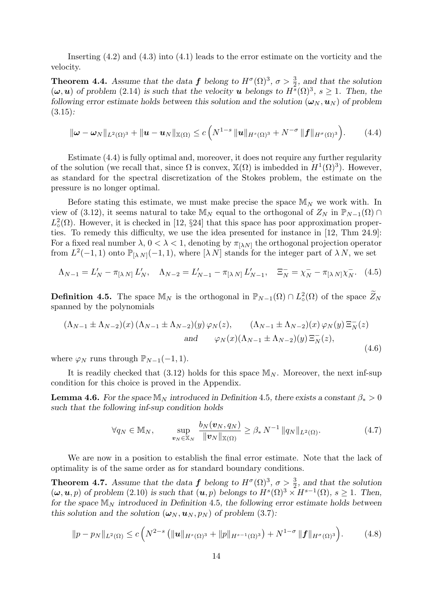Inserting (4.2) and (4.3) into (4.1) leads to the error estimate on the vorticity and the velocity.

**Theorem 4.4.** Assume that the data f belong to  $H^{\sigma}(\Omega)^3$ ,  $\sigma > \frac{3}{2}$ , and that the solution  $(\omega, u)$  of problem (2.14) is such that the velocity **u** belongs to  $H^s(\Omega)^3$ ,  $s \geq 1$ . Then, the following error estimate holds between this solution and the solution  $(\omega_N, u_N)$  of problem  $(3.15)$ :

$$
\|\boldsymbol{\omega}-\boldsymbol{\omega}_N\|_{L^2(\Omega)^3}+\|\boldsymbol{u}-\boldsymbol{u}_N\|_{\mathbb{X}(\Omega)}\leq c\left(N^{1-s}\|\boldsymbol{u}\|_{H^s(\Omega)^3}+N^{-\sigma}\|\boldsymbol{f}\|_{H^{\sigma}(\Omega)^3}\right).
$$
 (4.4)

Estimate (4.4) is fully optimal and, moreover, it does not require any further regularity of the solution (we recall that, since  $\Omega$  is convex,  $\mathbb{X}(\Omega)$  is imbedded in  $H^1(\Omega)^3$ ). However, as standard for the spectral discretization of the Stokes problem, the estimate on the pressure is no longer optimal.

Before stating this estimate, we must make precise the space  $\mathbb{M}_N$  we work with. In view of (3.12), it seems natural to take  $\mathbb{M}_N$  equal to the orthogonal of  $Z_N$  in  $\mathbb{P}_{N-1}(\Omega) \cap$  $L^2_{\circ}(\Omega)$ . However, it is checked in [12, §24] that this space has poor approximation properties. To remedy this difficulty, we use the idea presented for instance in [12, Thm 24.9]: For a fixed real number  $\lambda$ ,  $0 < \lambda < 1$ , denoting by  $\pi_{[\lambda N]}$  the orthogonal projection operator from  $L^2(-1,1)$  onto  $\mathbb{P}_{[\lambda,N]}(-1,1)$ , where  $[\lambda N]$  stands for the integer part of  $\lambda N$ , we set

$$
\Lambda_{N-1} = L'_N - \pi_{[\lambda N]} L'_N, \quad \Lambda_{N-2} = L'_{N-1} - \pi_{[\lambda N]} L'_{N-1}, \quad \Xi_N^- = \chi_N^- - \pi_{[\lambda N]} \chi_N^-, \quad (4.5)
$$

**Definition 4.5.** The space  $\mathbb{M}_N$  is the orthogonal in  $\mathbb{P}_{N-1}(\Omega) \cap L^2_{\circ}(\Omega)$  of the space  $\widetilde{Z}_N$ spanned by the polynomials

$$
(\Lambda_{N-1} \pm \Lambda_{N-2})(x) (\Lambda_{N-1} \pm \Lambda_{N-2})(y) \varphi_N(z), \qquad (\Lambda_{N-1} \pm \Lambda_{N-2})(x) \varphi_N(y) \Xi_N^-(z)
$$
  
and 
$$
\varphi_N(x) (\Lambda_{N-1} \pm \Lambda_{N-2})(y) \Xi_N^-(z),
$$
(4.6)

where  $\varphi_N$  runs through  $\mathbb{P}_{N-1}(-1,1)$ .

It is readily checked that (3.12) holds for this space  $M_N$ . Moreover, the next inf-sup condition for this choice is proved in the Appendix.

**Lemma 4.6.** For the space  $\mathbb{M}_N$  introduced in Definition 4.5, there exists a constant  $\beta_* > 0$ such that the following inf-sup condition holds

$$
\forall q_N \in \mathbb{M}_N, \qquad \sup_{\mathbf{v}_N \in \mathbb{X}_N} \frac{b_N(\mathbf{v}_N, q_N)}{\|\mathbf{v}_N\|_{\mathbb{X}(\Omega)}} \geq \beta_* N^{-1} \|q_N\|_{L^2(\Omega)}.
$$
 (4.7)

We are now in a position to establish the final error estimate. Note that the lack of optimality is of the same order as for standard boundary conditions.

**Theorem 4.7.** Assume that the data f belong to  $H^{\sigma}(\Omega)^3$ ,  $\sigma > \frac{3}{2}$ , and that the solution  $(\omega, \mathbf{u}, p)$  of problem (2.10) is such that  $(\mathbf{u}, p)$  belongs to  $H^s(\Omega)^3 \times H^{s-1}(\Omega)$ ,  $s \geq 1$ . Then, for the space  $\mathbb{M}_N$  introduced in Definition 4.5, the following error estimate holds between this solution and the solution  $(\omega_N, u_N, p_N)$  of problem (3.7):

$$
||p - p_N||_{L^2(\Omega)} \le c \left( N^{2-s} \left( ||\boldsymbol{u}||_{H^s(\Omega)^3} + ||p||_{H^{s-1}(\Omega)^3} \right) + N^{1-\sigma} ||\boldsymbol{f}||_{H^{\sigma}(\Omega)^3} \right).
$$
 (4.8)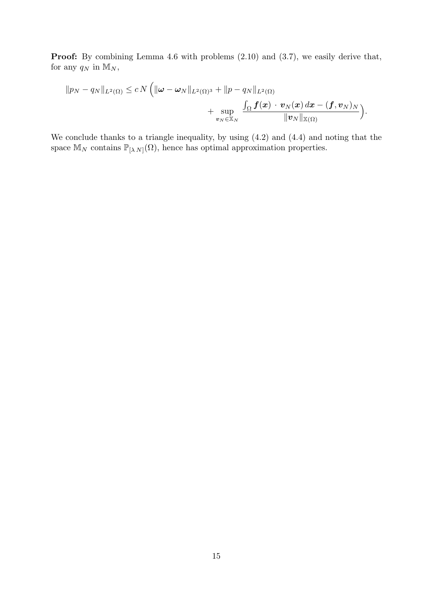Proof: By combining Lemma 4.6 with problems  $(2.10)$  and  $(3.7)$ , we easily derive that, for any  $q_N$  in  $\mathbb{M}_N$ ,

$$
\|p_N-q_N\|_{L^2(\Omega)} \le c\,N\left(\|\boldsymbol{\omega}-\boldsymbol{\omega}_N\|_{L^2(\Omega)^3}+\|p-q_N\|_{L^2(\Omega)}\right.+\sup_{\boldsymbol{v}_N\in\mathbb{X}_N}\frac{\int_{\Omega}\boldsymbol{f}(\boldsymbol{x})\cdot\boldsymbol{v}_N(\boldsymbol{x})\,d\boldsymbol{x}-(\boldsymbol{f},\boldsymbol{v}_N)_N}{\|\boldsymbol{v}_N\|_{\mathbb{X}(\Omega)}}\right).
$$

We conclude thanks to a triangle inequality, by using (4.2) and (4.4) and noting that the space  $\mathbb{M}_N$  contains  $\mathbb{P}_{[\lambda N]}(\Omega)$ , hence has optimal approximation properties.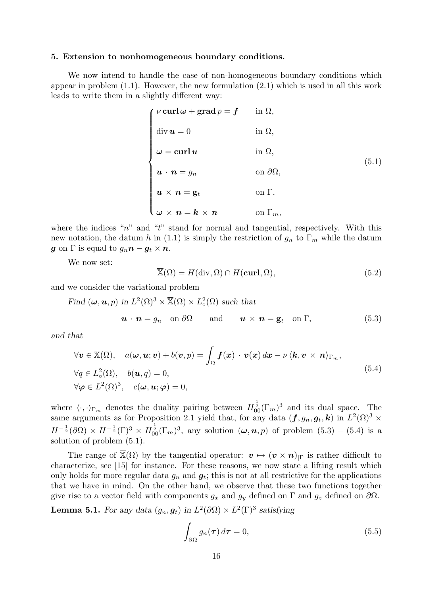#### 5. Extension to nonhomogeneous boundary conditions.

We now intend to handle the case of non-homogeneous boundary conditions which appear in problem  $(1.1)$ . However, the new formulation  $(2.1)$  which is used in all this work leads to write them in a slightly different way:

$$
\begin{cases}\n\nu \operatorname{curl} \omega + \operatorname{grad} p = f & \text{in } \Omega, \\
\operatorname{div} \mathbf{u} = 0 & \text{in } \Omega, \\
\omega = \operatorname{curl} \mathbf{u} & \text{in } \Omega, \\
\mathbf{u} \cdot \mathbf{n} = g_n & \text{on } \partial \Omega, \\
\mathbf{u} \times \mathbf{n} = \mathbf{g}_t & \text{on } \Gamma, \\
\omega \times \mathbf{n} = \mathbf{k} \times \mathbf{n} & \text{on } \Gamma_m,\n\end{cases}
$$
\n(5.1)

where the indices " $n$ " and "t" stand for normal and tangential, respectively. With this new notation, the datum h in (1.1) is simply the restriction of  $g_n$  to  $\Gamma_m$  while the datum g on  $\Gamma$  is equal to  $g_n \mathbf{n} - \mathbf{g}_t \times \mathbf{n}$ .

We now set:

$$
\overline{\mathbb{X}}(\Omega) = H(\text{div}, \Omega) \cap H(\text{curl}, \Omega),\tag{5.2}
$$

and we consider the variational problem

Find  $(\omega, \mathbf{u}, p)$  in  $L^2(\Omega)^3 \times \overline{\mathbb{X}}(\Omega) \times L^2(\Omega)$  such that

$$
\mathbf{u} \cdot \mathbf{n} = g_n \quad \text{on } \partial\Omega \qquad \text{and} \qquad \mathbf{u} \times \mathbf{n} = \mathbf{g}_t \quad \text{on } \Gamma,
$$
 (5.3)

and that

$$
\forall \mathbf{v} \in \mathbb{X}(\Omega), \quad a(\omega, \mathbf{u}; \mathbf{v}) + b(\mathbf{v}, p) = \int_{\Omega} \mathbf{f}(\mathbf{x}) \cdot \mathbf{v}(\mathbf{x}) d\mathbf{x} - \nu \langle \mathbf{k}, \mathbf{v} \times \mathbf{n} \rangle_{\Gamma_m},
$$
  
\n
$$
\forall q \in L^2(\Omega), \quad b(\mathbf{u}, q) = 0,
$$
  
\n
$$
\forall \varphi \in L^2(\Omega)^3, \quad c(\omega, \mathbf{u}; \varphi) = 0,
$$
\n(5.4)

where  $\langle \cdot, \cdot \rangle_{\Gamma_m}$  denotes the duality pairing between  $H^{\frac{1}{2}}_{00}(\Gamma_m)^3$  and its dual space. The same arguments as for Proposition 2.1 yield that, for any data  $(f, g_n, g_t, k)$  in  $L^2(\Omega)^3$   $\times$  $H^{-\frac{1}{2}}(\partial\Omega)\times H^{-\frac{1}{2}}(\Gamma)^3\times H^{\frac{1}{2}}_{00}(\Gamma_m)^3$ , any solution  $(\omega,u,p)$  of problem  $(5.3)-(5.4)$  is a solution of problem (5.1).

The range of  $\overline{\mathbb{X}}(\Omega)$  by the tangential operator:  $\mathbf{v} \mapsto (\mathbf{v} \times \mathbf{n})_{|\Gamma}$  is rather difficult to characterize, see [15] for instance. For these reasons, we now state a lifting result which only holds for more regular data  $g_n$  and  $g_t$ ; this is not at all restrictive for the applications that we have in mind. On the other hand, we observe that these two functions together give rise to a vector field with components  $g_x$  and  $g_y$  defined on  $\Gamma$  and  $g_z$  defined on  $\partial\Omega$ .

**Lemma 5.1.** For any data  $(g_n, g_t)$  in  $L^2(\partial\Omega) \times L^2(\Gamma)^3$  satisfying

$$
\int_{\partial\Omega} g_n(\tau) d\tau = 0, \tag{5.5}
$$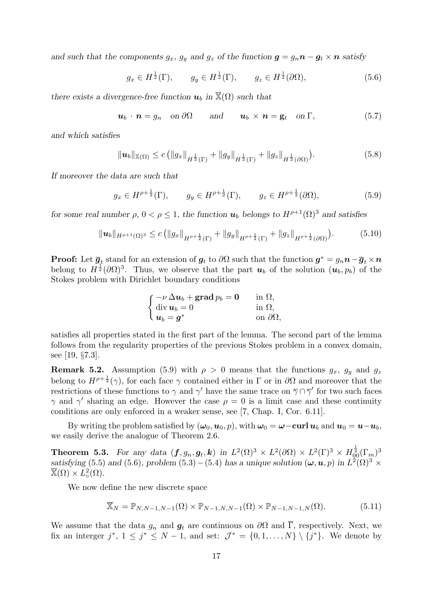and such that the components  $g_x$ ,  $g_y$  and  $g_z$  of the function  $g = g_n n - g_t \times n$  satisfy

$$
g_x \in H^{\frac{1}{2}}(\Gamma), \qquad g_y \in H^{\frac{1}{2}}(\Gamma), \qquad g_z \in H^{\frac{1}{2}}(\partial \Omega), \tag{5.6}
$$

there exists a divergence-free function  $u_b$  in  $\overline{\mathbb{X}}(\Omega)$  such that

$$
\mathbf{u}_b \cdot \mathbf{n} = g_n \quad \text{on } \partial\Omega \qquad \text{and} \qquad \mathbf{u}_b \times \mathbf{n} = \mathbf{g}_t \quad \text{on } \Gamma,
$$
 (5.7)

and which satisfies

$$
\|\boldsymbol{u}_b\|_{\mathbb{X}(\Omega)} \le c \left( \|g_x\|_{H^{\frac{1}{2}}(\Gamma)} + \|g_y\|_{H^{\frac{1}{2}}(\Gamma)} + \|g_z\|_{H^{\frac{1}{2}}(\partial\Omega)} \right). \tag{5.8}
$$

If moreover the data are such that

$$
g_x \in H^{\rho + \frac{1}{2}}(\Gamma), \qquad g_y \in H^{\rho + \frac{1}{2}}(\Gamma), \qquad g_z \in H^{\rho + \frac{1}{2}}(\partial \Omega), \tag{5.9}
$$

for some real number  $\rho$ ,  $0 < \rho \leq 1$ , the function  $u_b$  belongs to  $H^{\rho+1}(\Omega)^3$  and satisfies

$$
\|u_b\|_{H^{\rho+1}(\Omega)^3} \le c \left( \|g_x\|_{H^{\rho+\frac{1}{2}}(\Gamma)} + \|g_y\|_{H^{\rho+\frac{1}{2}}(\Gamma)} + \|g_z\|_{H^{\rho+\frac{1}{2}}(\partial\Omega)} \right). \tag{5.10}
$$

**Proof:** Let  $\overline{g}_t$  stand for an extension of  $g_t$  to  $\partial\Omega$  such that the function  $g^* = g_n n - \overline{g}_t \times n$ belong to  $H^{\frac{1}{2}}(\partial\Omega)^3$ . Thus, we observe that the part  $u_b$  of the solution  $(u_b, p_b)$  of the Stokes problem with Dirichlet boundary conditions

$$
\begin{cases}\n-\nu \Delta u_b + \mathbf{grad} \, p_b = \mathbf{0} & \text{in } \Omega, \\
\text{div } \mathbf{u}_b = 0 & \text{in } \Omega, \\
\mathbf{u}_b = \mathbf{g}^* & \text{on } \partial \Omega,\n\end{cases}
$$

satisfies all properties stated in the first part of the lemma. The second part of the lemma follows from the regularity properties of the previous Stokes problem in a convex domain, see [19, §7.3].

**Remark 5.2.** Assumption (5.9) with  $\rho > 0$  means that the functions  $g_x$ ,  $g_y$  and  $g_z$ belong to  $H^{\rho+\frac{1}{2}}(\gamma)$ , for each face  $\gamma$  contained either in  $\Gamma$  or in  $\partial\Omega$  and moreover that the restrictions of these functions to  $\gamma$  and  $\gamma'$  have the same trace on  $\overline{\gamma} \cap \overline{\gamma}'$  for two such faces  $\gamma$  and  $\gamma'$  sharing an edge. However the case  $\rho = 0$  is a limit case and these continuity conditions are only enforced in a weaker sense, see [7, Chap. I, Cor. 6.11].

By writing the problem satisfied by  $(\omega_0, \mathbf{u}_0, p)$ , with  $\omega_0 = \boldsymbol{\omega} - \mathbf{curl} \, \mathbf{u}_b$  and  $\mathbf{u}_0 = \mathbf{u} - \mathbf{u}_b$ , we easily derive the analogue of Theorem 2.6.

Theorem 5.3. For any data  $(f, g_n, g_t, k)$  in  $L^2(\Omega)^3 \times L^2(\partial \Omega) \times L^2(\Gamma)^3 \times H^{\frac{1}{2}}_{00}(\Gamma_m)^3$ satisfying (5.5) and (5.6), problem (5.3) – (5.4) has a unique solution  $(\omega, \mathbf{u}, p)$  in  $L^2(\Omega)^3$  ×  $\overline{\mathbb{X}}(\Omega) \times L^2_{\circ}(\Omega)$ .

We now define the new discrete space

$$
\overline{\mathbb{X}}_N = \mathbb{P}_{N,N-1,N-1}(\Omega) \times \mathbb{P}_{N-1,N,N-1}(\Omega) \times \mathbb{P}_{N-1,N-1,N}(\Omega). \tag{5.11}
$$

We assume that the data  $g_n$  and  $g_t$  are continuous on  $\partial\Omega$  and  $\overline{\Gamma}$ , respectively. Next, we fix an interger  $j^*$ ,  $1 \leq j^* \leq N-1$ , and set:  $\mathcal{J}^* = \{0,1,\ldots,N\} \setminus \{j^*\}$ . We denote by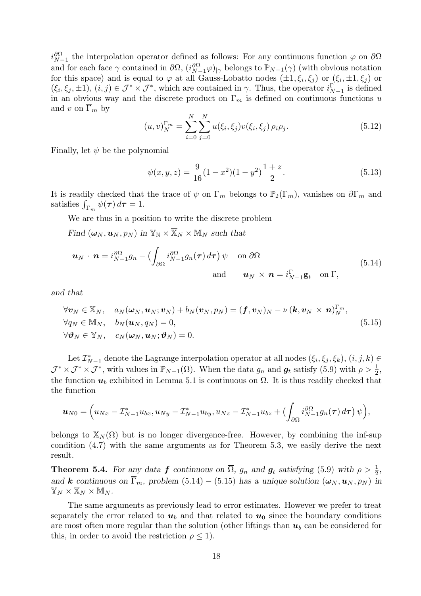$i_{N-1}^{\partial\Omega}$  the interpolation operator defined as follows: For any continuous function  $\varphi$  on  $\partial\Omega$ and for each face  $\gamma$  contained in  $\partial\Omega$ ,  $(i_{N-1}^{\partial\Omega}\varphi)_{|\gamma}$  belongs to  $\mathbb{P}_{N-1}(\gamma)$  (with obvious notation for this space) and is equal to  $\varphi$  at all Gauss-Lobatto nodes  $(\pm 1, \xi_i, \xi_j)$  or  $(\xi_i, \pm 1, \xi_j)$  or  $(\xi_i, \xi_j, \pm 1), (i, j) \in \mathcal{J}^* \times \mathcal{J}^*$ , which are contained in  $\overline{\gamma}$ . Thus, the operator  $i_{N-1}^{\Gamma}$  is defined in an obvious way and the discrete product on  $\Gamma_m$  is defined on continuous functions u and v on  $\overline{\Gamma}_m$  by

$$
(u,v)_{N}^{\Gamma_{m}} = \sum_{i=0}^{N} \sum_{j=0}^{N} u(\xi_{i}, \xi_{j}) v(\xi_{i}, \xi_{j}) \rho_{i} \rho_{j}.
$$
 (5.12)

Finally, let  $\psi$  be the polynomial

$$
\psi(x, y, z) = \frac{9}{16}(1 - x^2)(1 - y^2)\frac{1 + z}{2}.
$$
\n(5.13)

It is readily checked that the trace of  $\psi$  on  $\Gamma_m$  belongs to  $\mathbb{P}_2(\Gamma_m)$ , vanishes on  $\partial \Gamma_m$  and satisfies  $\int_{\Gamma_m} \psi(\tau) d\tau = 1$ .

We are thus in a position to write the discrete problem

Find  $(\omega_N, \mathbf{u}_N, p_N)$  in  $\mathbb{Y}_N \times \overline{\mathbb{X}}_N \times \mathbb{M}_N$  such that

$$
\mathbf{u}_N \cdot \mathbf{n} = i_{N-1}^{\partial \Omega} g_n - \left( \int_{\partial \Omega} i_{N-1}^{\partial \Omega} g_n(\tau) d\tau \right) \psi \quad \text{on } \partial \Omega
$$
\n
$$
\text{and} \qquad \mathbf{u}_N \times \mathbf{n} = i_{N-1}^{\Gamma} \mathbf{g}_t \quad \text{on } \Gamma,
$$
\n(5.14)

and that

$$
\forall \mathbf{v}_N \in \mathbb{X}_N, \quad a_N(\boldsymbol{\omega}_N, \boldsymbol{u}_N; \boldsymbol{v}_N) + b_N(\boldsymbol{v}_N, p_N) = (\boldsymbol{f}, \boldsymbol{v}_N)_N - \nu (\boldsymbol{k}, \boldsymbol{v}_N \times \boldsymbol{n})_N^{\Gamma_m},
$$
  
\n
$$
\forall q_N \in \mathbb{M}_N, \quad b_N(\boldsymbol{u}_N, q_N) = 0,
$$
  
\n
$$
\forall \boldsymbol{\vartheta}_N \in \mathbb{Y}_N, \quad c_N(\boldsymbol{\omega}_N, \boldsymbol{u}_N; \boldsymbol{\vartheta}_N) = 0.
$$
\n(5.15)

Let  $\mathcal{I}_{N-1}^*$  denote the Lagrange interpolation operator at all nodes  $(\xi_i, \xi_j, \xi_k), (i, j, k) \in$  $\mathcal{J}^* \times \mathcal{J}^* \times \mathcal{J}^*$ , with values in  $\mathbb{P}_{N-1}(\Omega)$ . When the data  $g_n$  and  $g_t$  satisfy (5.9) with  $\rho > \frac{1}{2}$ , the function  $u_b$  exhibited in Lemma 5.1 is continuous on  $\overline{\Omega}$ . It is thus readily checked that the function

$$
\boldsymbol{u}_{N0} = \Big(u_{Nx} - \mathcal{I}_{N-1}^* u_{bx}, u_{Ny} - \mathcal{I}_{N-1}^* u_{by}, u_{Nz} - \mathcal{I}_{N-1}^* u_{bz} + \big(\int_{\partial\Omega} i_{N-1}^{\partial\Omega} g_n(\boldsymbol{\tau}) d\boldsymbol{\tau}\big) \psi\Big),
$$

belongs to  $\mathbb{X}_N(\Omega)$  but is no longer divergence-free. However, by combining the inf-sup condition (4.7) with the same arguments as for Theorem 5.3, we easily derive the next result.

**Theorem 5.4.** For any data f continuous on  $\overline{\Omega}$ ,  $g_n$  and  $g_t$  satisfying (5.9) with  $\rho > \frac{1}{2}$ , and k continuous on  $\overline{\Gamma}_m$ , problem (5.14) – (5.15) has a unique solution  $(\omega_N, \mathbf{u}_N, p_N)$  in  $\mathbb{Y}_N\times\overline{\mathbb{X}}_N\times\mathbb{M}_N$ .

The same arguments as previously lead to error estimates. However we prefer to treat separately the error related to  $u<sub>b</sub>$  and that related to  $u<sub>0</sub>$  since the boundary conditions are most often more regular than the solution (other liftings than  $u<sub>b</sub>$  can be considered for this, in order to avoid the restriction  $\rho \leq 1$ ).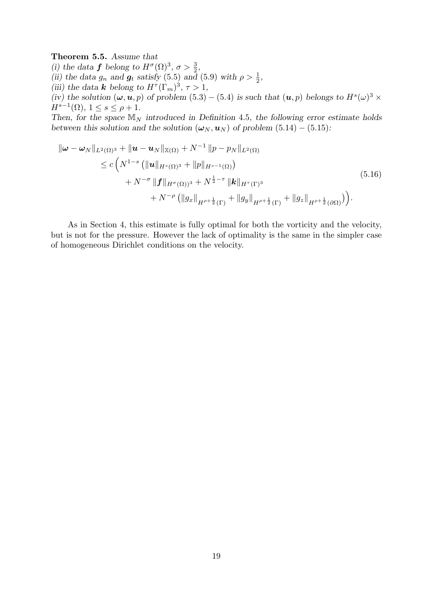### Theorem 5.5. Assume that

(i) the data **f** belong to  $H^{\sigma}(\Omega)^3$ ,  $\sigma > \frac{3}{2}$ , (ii) the data  $g_n$  and  $g_t$  satisfy (5.5) and (5.9) with  $\rho > \frac{1}{2}$ , (iii) the data **k** belong to  $H^{\tau}(\Gamma_m)^3$ ,  $\tau > 1$ , (iv) the solution  $(\omega, \mathbf{u}, p)$  of problem  $(5.3) - (5.4)$  is such that  $(\mathbf{u}, p)$  belongs to  $H^s(\omega)^3$  ×  $H^{s-1}(\Omega)$ ,  $1 \leq s \leq \rho + 1$ . Then, for the space  $\mathbb{M}_N$  introduced in Definition 4.5, the following error estimate holds

between this solution and the solution ( $\omega_N$ ,  $u_N$ ) of problem (5.14) – (5.15):

$$
\|\omega - \omega_{N}\|_{L^{2}(\Omega)^{3}} + \|u - u_{N}\|_{\mathbb{X}(\Omega)} + N^{-1} \|p - p_{N}\|_{L^{2}(\Omega)}
$$
  
\n
$$
\leq c \left( N^{1-s} \left( \|u\|_{H^{s}(\Omega)^{3}} + \|p\|_{H^{s-1}(\Omega)} \right) + N^{-\sigma} \|f\|_{H^{\sigma}(\Omega)^{3}} + N^{\frac{1}{2}-\tau} \|k\|_{H^{\tau}(\Gamma)^{3}} + N^{-\rho} \left( \|g_{x}\|_{H^{\rho+\frac{1}{2}}(\Gamma)} + \|g_{y}\|_{H^{\rho+\frac{1}{2}}(\Gamma)} + \|g_{z}\|_{H^{\rho+\frac{1}{2}}(\partial\Omega)} \right) \right).
$$
\n(5.16)

As in Section 4, this estimate is fully optimal for both the vorticity and the velocity, but is not for the pressure. However the lack of optimality is the same in the simpler case of homogeneous Dirichlet conditions on the velocity.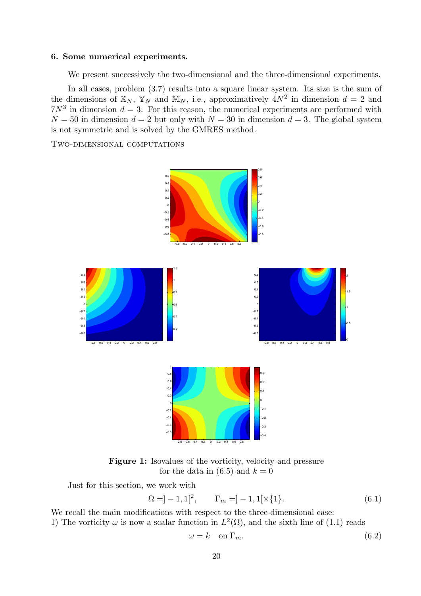### 6. Some numerical experiments.

We present successively the two-dimensional and the three-dimensional experiments.

In all cases, problem  $(3.7)$  results into a square linear system. Its size is the sum of the dimensions of  $\mathbb{X}_N$ ,  $\mathbb{Y}_N$  and  $\mathbb{M}_N$ , i.e., approximatively  $4N^2$  in dimension  $d=2$  and  $7N<sup>3</sup>$  in dimension  $d = 3$ . For this reason, the numerical experiments are performed with  $N = 50$  in dimension  $d = 2$  but only with  $N = 30$  in dimension  $d = 3$ . The global system is not symmetric and is solved by the GMRES method.

Two-dimensional computations



Figure 1: Isovalues of the vorticity, velocity and pressure for the data in  $(6.5)$  and  $k = 0$ 

Just for this section, we work with

$$
\Omega = ]-1,1[^{2}, \qquad \Gamma_{m} = ]-1,1[\times \{1\}.
$$
\n(6.1)

We recall the main modifications with respect to the three-dimensional case: 1) The vorticity  $\omega$  is now a scalar function in  $L^2(\Omega)$ , and the sixth line of (1.1) reads

$$
\omega = k \quad \text{on } \Gamma_m. \tag{6.2}
$$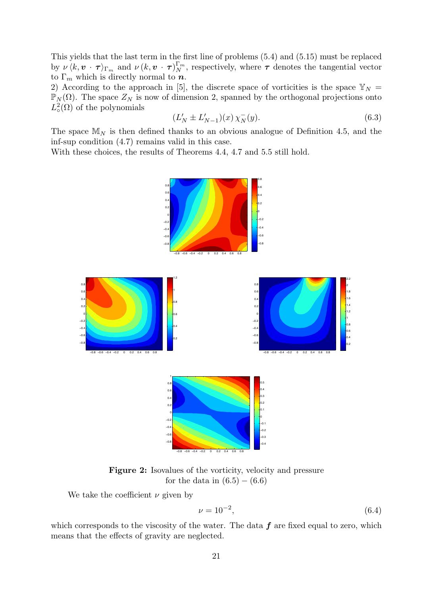This yields that the last term in the first line of problems (5.4) and (5.15) must be replaced by  $\nu \langle k, v \cdot \tau \rangle_{\Gamma_m}$  and  $\nu (k, v \cdot \tau)_{N}^{\Gamma_m}$ , respectively, where  $\tau$  denotes the tangential vector to  $\Gamma_m$  which is directly normal to  $\boldsymbol{n}$ .

2) According to the approach in [5], the discrete space of vorticities is the space  $\mathbb{Y}_N =$  $\mathbb{P}_N(\Omega)$ . The space  $Z_N$  is now of dimension 2, spanned by the orthogonal projections onto  $L^2_{\circ}(\Omega)$  of the polynomials

$$
(L'_N \pm L'_{N-1})(x) \chi_N^-(y). \tag{6.3}
$$

The space  $\mathbb{M}_N$  is then defined thanks to an obvious analogue of Definition 4.5, and the inf-sup condition (4.7) remains valid in this case.

With these choices, the results of Theorems 4.4, 4.7 and 5.5 still hold.



Figure 2: Isovalues of the vorticity, velocity and pressure for the data in  $(6.5) - (6.6)$ 

We take the coefficient  $\nu$  given by

$$
\nu = 10^{-2},\tag{6.4}
$$

which corresponds to the viscosity of the water. The data  $f$  are fixed equal to zero, which means that the effects of gravity are neglected.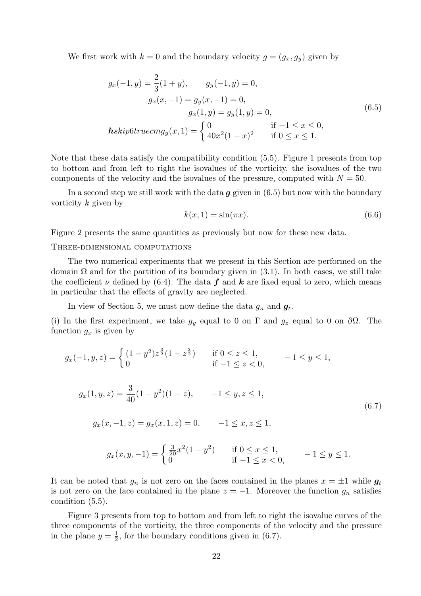We first work with  $k = 0$  and the boundary velocity  $g = (g_x, g_y)$  given by

$$
g_x(-1, y) = \frac{2}{3}(1 + y), \qquad g_y(-1, y) = 0,
$$
  
\n
$$
g_x(x, -1) = g_y(x, -1) = 0,
$$
  
\n
$$
g_x(1, y) = g_y(1, y) = 0,
$$
  
\n
$$
hskip6trueom{aligned}\n\text{Askip6} \text{for } u \in \text{Im} g_y(x, 1) = \begin{cases}\n0 & \text{if } -1 \le x \le 0, \\
40x^2(1 - x)^2 & \text{if } 0 \le x \le 1.\n\end{cases}
$$
\n(6.5)

Note that these data satisfy the compatibility condition (5.5). Figure 1 presents from top to bottom and from left to right the isovalues of the vorticity, the isovalues of the two components of the velocity and the isovalues of the pressure, computed with  $N = 50$ .

In a second step we still work with the data  $g$  given in (6.5) but now with the boundary vorticity k given by

$$
k(x,1) = \sin(\pi x). \tag{6.6}
$$

Figure 2 presents the same quantities as previously but now for these new data.

Three-dimensional computations

The two numerical experiments that we present in this Section are performed on the domain  $\Omega$  and for the partition of its boundary given in (3.1). In both cases, we still take the coefficient  $\nu$  defined by (6.4). The data  $f$  and  $k$  are fixed equal to zero, which means in particular that the effects of gravity are neglected.

In view of Section 5, we must now define the data  $g_n$  and  $g_t$ .

(i) In the first experiment, we take  $g_y$  equal to 0 on  $\Gamma$  and  $g_z$  equal to 0 on  $\partial\Omega$ . The function  $g_x$  is given by

$$
g_x(-1, y, z) = \begin{cases} (1 - y^2)z^{\frac{3}{2}}(1 - z^{\frac{3}{2}}) & \text{if } 0 \le z \le 1, \\ 0 & \text{if } -1 \le z < 0, \end{cases} -1 \le y \le 1,
$$
  

$$
g_x(1, y, z) = \frac{3}{40}(1 - y^2)(1 - z), \qquad -1 \le y, z \le 1,
$$
  

$$
g_x(x, -1, z) = g_x(x, 1, z) = 0, \qquad -1 \le x, z \le 1,
$$
  
(6.7)

$$
g_x(x, y, -1) = \begin{cases} \frac{3}{20}x^2(1 - y^2) & \text{if } 0 \le x \le 1, \\ 0 & \text{if } -1 \le x < 0, \end{cases} \qquad -1 \le y \le 1.
$$

It can be noted that  $g_n$  is not zero on the faces contained in the planes  $x = \pm 1$  while  $g_t$ is not zero on the face contained in the plane  $z = -1$ . Moreover the function  $g_n$  satisfies condition (5.5).

Figure 3 presents from top to bottom and from left to right the isovalue curves of the three components of the vorticity, the three components of the velocity and the pressure in the plane  $y=\frac{1}{2}$  $\frac{1}{2}$ , for the boundary conditions given in (6.7).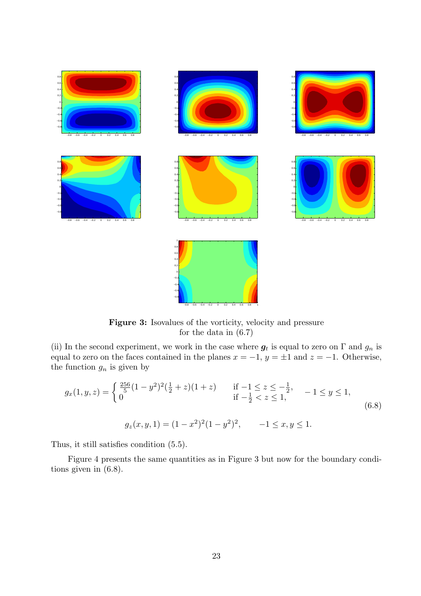

Figure 3: Isovalues of the vorticity, velocity and pressure for the data in (6.7)

(ii) In the second experiment, we work in the case where  $g_t$  is equal to zero on  $\Gamma$  and  $g_n$  is equal to zero on the faces contained in the planes  $x = -1$ ,  $y = \pm 1$  and  $z = -1$ . Otherwise, the function  $g_n$  is given by

$$
g_x(1, y, z) = \begin{cases} \frac{256}{5} (1 - y^2)^2 (\frac{1}{2} + z)(1 + z) & \text{if } -1 \le z \le -\frac{1}{2}, \\ 0 & \text{if } -\frac{1}{2} < z \le 1, \end{cases} - 1 \le y \le 1,
$$
  

$$
g_z(x, y, 1) = (1 - x^2)^2 (1 - y^2)^2, \qquad -1 \le x, y \le 1.
$$
 (6.8)

Thus, it still satisfies condition (5.5).

Figure 4 presents the same quantities as in Figure 3 but now for the boundary conditions given in (6.8).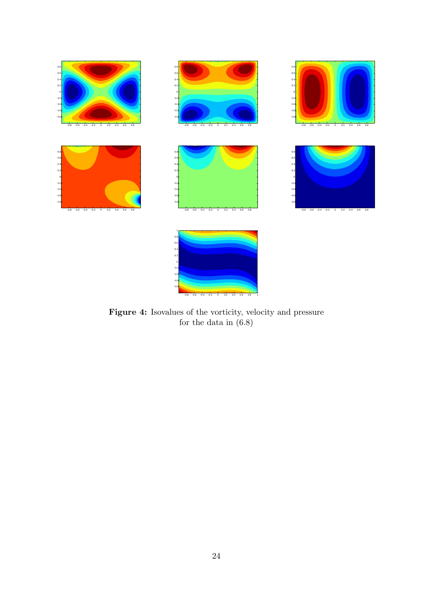

Figure 4: Isovalues of the vorticity, velocity and pressure for the data in (6.8)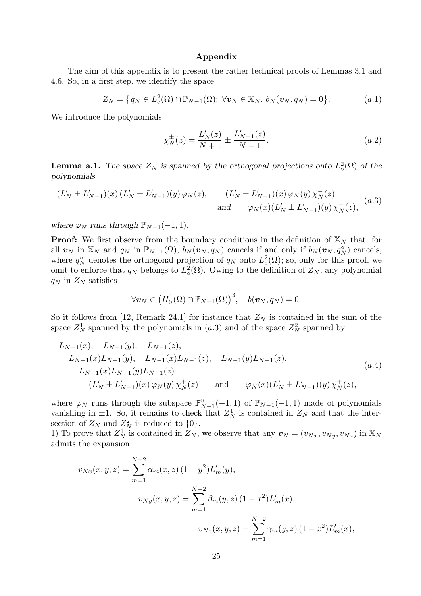# Appendix

The aim of this appendix is to present the rather technical proofs of Lemmas 3.1 and 4.6. So, in a first step, we identify the space

$$
Z_N = \big\{ q_N \in L^2_{\circ}(\Omega) \cap \mathbb{P}_{N-1}(\Omega); \ \forall \boldsymbol{v}_N \in \mathbb{X}_N, \ b_N(\boldsymbol{v}_N, q_N) = 0 \big\}.
$$
 (a.1)

We introduce the polynomials

$$
\chi_N^{\pm}(z) = \frac{L'_N(z)}{N+1} \pm \frac{L'_{N-1}(z)}{N-1}.
$$
\n(a.2)

**Lemma a.1.** The space  $Z_N$  is spanned by the orthogonal projections onto  $L^2_{\sigma}(\Omega)$  of the polynomials

$$
(L'_N \pm L'_{N-1})(x) (L'_N \pm L'_{N-1})(y) \varphi_N(z), \qquad (L'_N \pm L'_{N-1})(x) \varphi_N(y) \chi_N^-(z)
$$
  
and 
$$
\varphi_N(x) (L'_N \pm L'_{N-1})(y) \chi_N^-(z),
$$
 (a.3)

where  $\varphi_N$  runs through  $\mathbb{P}_{N-1}(-1,1)$ .

**Proof:** We first observe from the boundary conditions in the definition of  $\mathbb{X}_N$  that, for all  $v_N$  in  $\mathbb{X}_N$  and  $q_N$  in  $\mathbb{P}_{N-1}(\Omega)$ ,  $b_N(v_N, q_N)$  cancels if and only if  $b_N(v_N, q_N)$  cancels, where  $q_N^{\circ}$  denotes the orthogonal projection of  $q_N$  onto  $L^2(\Omega)$ ; so, only for this proof, we omit to enforce that  $q_N$  belongs to  $L^2(\Omega)$ . Owing to the definition of  $Z_N$ , any polynomial  $q_N$  in  $Z_N$  satisfies

$$
\forall \boldsymbol{v}_N \in \left( H_0^1(\Omega) \cap \mathbb{P}_{N-1}(\Omega) \right)^3, \quad b(\boldsymbol{v}_N,q_N) = 0.
$$

So it follows from [12, Remark 24.1] for instance that  $Z_N$  is contained in the sum of the space  $Z_N^1$  spanned by the polynomials in  $(a.3)$  and of the space  $Z_N^2$  spanned by

$$
L_{N-1}(x), L_{N-1}(y), L_{N-1}(z),
$$
  
\n
$$
L_{N-1}(x)L_{N-1}(y), L_{N-1}(x)L_{N-1}(z), L_{N-1}(y)L_{N-1}(z),
$$
  
\n
$$
L_{N-1}(x)L_{N-1}(y)L_{N-1}(z)
$$
  
\n
$$
(L'_{N} \pm L'_{N-1})(x) \varphi_{N}(y) \chi_{N}^{+}(z)
$$
 and 
$$
\varphi_{N}(x)(L'_{N} \pm L'_{N-1})(y) \chi_{N}^{+}(z),
$$
\n
$$
(a.4)
$$

where  $\varphi_N$  runs through the subspace  $\mathbb{P}_{N-1}^0(-1,1)$  of  $\mathbb{P}_{N-1}(-1,1)$  made of polynomials vanishing in  $\pm 1$ . So, it remains to check that  $Z_N^1$  is contained in  $Z_N$  and that the intersection of  $Z_N$  and  $Z_N^2$  is reduced to  $\{0\}.$ 

1) To prove that  $Z_N^1$  is contained in  $Z_N$ , we observe that any  $\mathbf{v}_N = (v_{Nx}, v_{Ny}, v_{Nz})$  in  $\mathbb{X}_N$ admits the expansion

$$
v_{Nx}(x, y, z) = \sum_{m=1}^{N-2} \alpha_m(x, z) (1 - y^2) L'_m(y),
$$
  

$$
v_{Ny}(x, y, z) = \sum_{m=1}^{N-2} \beta_m(y, z) (1 - x^2) L'_m(x),
$$
  

$$
v_{Nz}(x, y, z) = \sum_{m=1}^{N-2} \gamma_m(y, z) (1 - x^2) L'_m(x),
$$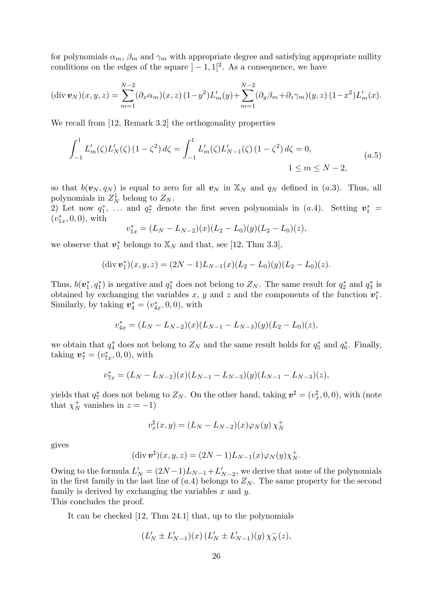for polynomials  $\alpha_m$ ,  $\beta_m$  and  $\gamma_m$  with appropriate degree and satisfying appropriate nullity conditions on the edges of the square  $]-1,1[^2$ . As a consequence, we have

$$
(\text{div } \boldsymbol{v}_N)(x, y, z) = \sum_{m=1}^{N-2} (\partial_x \alpha_m)(x, z) (1 - y^2) L'_m(y) + \sum_{m=1}^{N-2} (\partial_y \beta_m + \partial_z \gamma_m)(y, z) (1 - x^2) L'_m(x).
$$

We recall from [12, Remark 3.2] the orthogonality properties

$$
\int_{-1}^{1} L'_{m}(\zeta) L'_{N}(\zeta) (1 - \zeta^{2}) d\zeta = \int_{-1}^{1} L'_{m}(\zeta) L'_{N-1}(\zeta) (1 - \zeta^{2}) d\zeta = 0,
$$
\n
$$
1 \le m \le N - 2,
$$
\n
$$
(a.5)
$$

so that  $b(\mathbf{v}_N, q_N)$  is equal to zero for all  $\mathbf{v}_N$  in  $\mathbb{X}_N$  and  $q_N$  defined in (a.3). Thus, all polynomials in  $Z_N^1$  belong to  $Z_N$ .

2) Let now  $q_1^*$ , ... and  $q_7^*$  denote the first seven polynomials in (a.4). Setting  $v_1^*$  =  $(v_{1x}^*, 0, 0)$ , with

$$
v_{1x}^* = (L_N - L_{N-2})(x)(L_2 - L_0)(y)(L_2 - L_0)(z),
$$

we observe that  $v_1^*$  belongs to  $\mathbb{X}_N$  and that, see [12, Thm 3.3],

$$
(\text{div } \boldsymbol{v}_1^*)(x, y, z) = (2N - 1)L_{N-1}(x)(L_2 - L_0)(y)(L_2 - L_0)(z).
$$

Thus,  $b(\mathbf{v}_1^*, q_1^*)$  is negative and  $q_1^*$  does not belong to  $Z_N$ . The same result for  $q_2^*$  and  $q_3^*$  is obtained by exchanging the variables x, y and z and the components of the function  $v_1^*$ . Similarly, by taking  $v_4^* = (v_{4x}^*, 0, 0)$ , with

$$
v_{4x}^* = (L_N - L_{N-2})(x)(L_{N-1} - L_{N-3})(y)(L_2 - L_0)(z),
$$

we obtain that  $q_4^*$  does not belong to  $Z_N$  and the same result holds for  $q_5^*$  and  $q_6^*$ . Finally, taking  $v_7^* = (v_{7x}^*, 0, 0)$ , with

$$
v_{7x}^* = (L_N - L_{N-2})(x)(L_{N-1} - L_{N-3})(y)(L_{N-1} - L_{N-3})(z),
$$

yields that  $q_7^*$  does not belong to  $Z_N$ . On the other hand, taking  $\mathbf{v}^\sharp = (v_x^\sharp, 0, 0)$ , with (note that  $\chi_N^+$  vanishes in  $z = -1$ )

$$
v_x^{\sharp}(x,y) = (L_N - L_{N-2})(x)\varphi_N(y)\,\chi_N^+
$$

gives

$$
(\operatorname{div} \boldsymbol{v}^{\sharp})(x, y, z) = (2N - 1)L_{N-1}(x)\varphi_{N}(y)\chi_{N}^{+}.
$$

Owing to the formula  $L'_N = (2N-1)L_{N-1} + L'_{N-2}$ , we derive that none of the polynomials in the first family in the last line of  $(a.4)$  belongs to  $Z_N$ . The same property for the second family is derived by exchanging the variables  $x$  and  $y$ .

This concludes the proof.

It can be checked [12, Thm 24.1] that, up to the polynomials

$$
(L'_N \pm L'_{N-1})(x) (L'_N \pm L'_{N-1})(y) \chi_N^-(z),
$$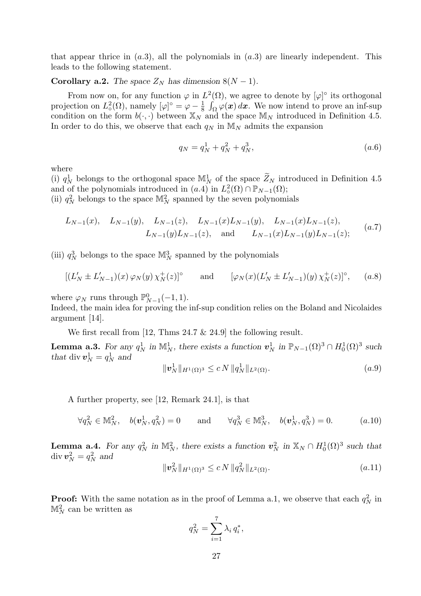that appear thrice in  $(a.3)$ , all the polynomials in  $(a.3)$  are linearly independent. This leads to the following statement.

# Corollary a.2. The space  $Z_N$  has dimension  $8(N-1)$ .

From now on, for any function  $\varphi$  in  $L^2(\Omega)$ , we agree to denote by  $[\varphi]^\circ$  its orthogonal projection on  $L^2_{\circ}(\Omega)$ , namely  $[\varphi]$ <sup>°</sup> =  $\varphi - \frac{1}{8}$  $\frac{1}{8} \int_{\Omega} \varphi(\boldsymbol{x}) d\boldsymbol{x}$ . We now intend to prove an inf-sup condition on the form  $b(\cdot, \cdot)$  between  $\mathbb{X}_N$  and the space  $\mathbb{M}_N$  introduced in Definition 4.5. In order to do this, we observe that each  $q_N$  in  $\mathbb{M}_N$  admits the expansion

$$
q_N = q_N^1 + q_N^2 + q_N^3, \qquad (a.6)
$$

where

(i)  $q_N^1$  belongs to the orthogonal space  $\mathbb{M}^1_N$  of the space  $\widetilde{Z}_N$  introduced in Definition 4.5 and of the polynomials introduced in  $(a.4)$  in  $L^2_{\circ}(\Omega) \cap \mathbb{P}_{N-1}(\Omega)$ ;

(ii)  $q_N^2$  belongs to the space  $\mathbb{M}_N^2$  spanned by the seven polynomials

$$
L_{N-1}(x), \quad L_{N-1}(y), \quad L_{N-1}(z), \quad L_{N-1}(x)L_{N-1}(y), \quad L_{N-1}(x)L_{N-1}(z),
$$
  
\n
$$
L_{N-1}(y)L_{N-1}(z), \quad \text{and} \quad L_{N-1}(x)L_{N-1}(y)L_{N-1}(z); \tag{a.7}
$$

(iii)  $q_N^3$  belongs to the space  $\mathbb{M}_N^3$  spanned by the polynomials

$$
[(L'_N \pm L'_{N-1})(x)\varphi_N(y)\chi_N^+(z)]^{\circ} \quad \text{and} \quad [\varphi_N(x)(L'_N \pm L'_{N-1})(y)\chi_N^+(z)]^{\circ}, \quad (a.8)
$$

where  $\varphi_N$  runs through  $\mathbb{P}_{N-1}^0(-1,1)$ .

Indeed, the main idea for proving the inf-sup condition relies on the Boland and Nicolaides argument [14].

We first recall from [12, Thms 24.7 & 24.9] the following result.

**Lemma a.3.** For any  $q_N^1$  in  $\mathbb{M}_N^1$ , there exists a function  $\mathbf{v}_N^1$  in  $\mathbb{P}_{N-1}(\Omega)^3 \cap H_0^1(\Omega)^3$  such that div  $v_N^1 = q_N^1$  and

$$
\|\mathbf{v}_N^1\|_{H^1(\Omega)^3} \le c N \, \|q_N^1\|_{L^2(\Omega)}.
$$
\n(a.9)

A further property, see [12, Remark 24.1], is that

$$
\forall q_N^2 \in \mathbb{M}_N^2, \quad b(\mathbf{v}_N^1, q_N^2) = 0 \quad \text{and} \quad \forall q_N^3 \in \mathbb{M}_N^3, \quad b(\mathbf{v}_N^1, q_N^3) = 0. \quad (a.10)
$$

**Lemma a.4.** For any  $q_N^2$  in  $\mathbb{M}_{N}^2$ , there exists a function  $v_N^2$  in  $\mathbb{X}_N \cap H_0^1(\Omega)^3$  such that div  $\boldsymbol{v}_N^2 = q_N^2$  and

$$
\|\mathbf{v}_N^2\|_{H^1(\Omega)^3} \le c N \, \|q_N^2\|_{L^2(\Omega)}.\tag{a.11}
$$

**Proof:** With the same notation as in the proof of Lemma a.1, we observe that each  $q_N^2$  in  $\mathbb{M}_{N}^{2}$  can be written as

$$
q_N^2 = \sum_{i=1}^7 \lambda_i \, q_i^*,
$$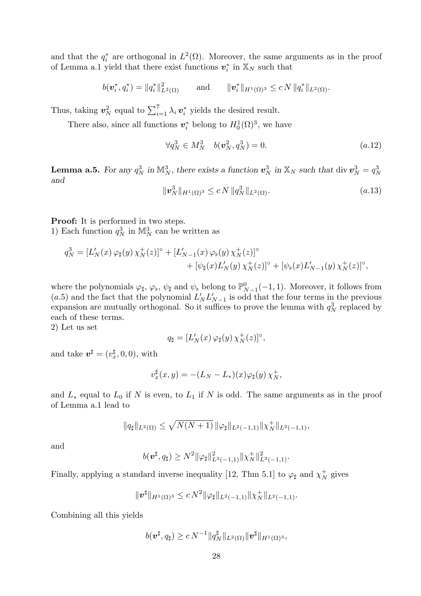and that the  $q_i^*$  are orthogonal in  $L^2(\Omega)$ . Moreover, the same arguments as in the proof of Lemma a.1 yield that there exist functions  $v_i^*$  in  $\mathbb{X}_N$  such that

$$
b(\bm{v}_i^*,q_i^*) = \|q_i^*\|_{L^2(\Omega)}^2 \quad \text{and} \quad \|{\bm{v}}_i^*\|_{H^1(\Omega)^3} \le c\,N\,\|q_i^*\|_{L^2(\Omega)}.
$$

Thus, taking  $v_N^2$  equal to  $\sum_{i=1}^7 \lambda_i v_i^*$  yields the desired result.

There also, since all functions  $v_i^*$  belong to  $H_0^1(\Omega)^3$ , we have

$$
\forall q_N^3 \in M_N^3 \quad b(\mathbf{v}_N^2, q_N^3) = 0. \tag{a.12}
$$

**Lemma a.5.** For any  $q_N^3$  in  $\mathbb{M}^3_N$ , there exists a function  $\mathbf{v}_N^3$  in  $\mathbb{X}_N$  such that  $\text{div } \mathbf{v}_N^3 = q_N^3$ and

$$
\|\mathbf{v}_N^3\|_{H^1(\Omega)^3} \le c N \, \|q_N^3\|_{L^2(\Omega)}.\tag{a.13}
$$

Proof: It is performed in two steps. 1) Each function  $q_N^3$  in  $\mathbb{M}_N^3$  can be written as

$$
q_N^3 = [L'_N(x)\,\varphi_\sharp(y)\,\chi_N^+(z)]^\circ + [L'_{N-1}(x)\,\varphi_\flat(y)\,\chi_N^+(z)]^\circ + [\psi_\sharp(x)L'_N(y)\,\chi_N^+(z)]^\circ + [\psi_\flat(x)L'_{N-1}(y)\,\chi_N^+(z)]^\circ,
$$

where the polynomials  $\varphi_{\sharp}, \varphi_{\flat}, \psi_{\sharp}$  and  $\psi_{\flat}$  belong to  $\mathbb{P}_{N-1}^{0}(-1, 1)$ . Moreover, it follows from (a.5) and the fact that the polynomial  $L'_{N}L'_{N-1}$  is odd that the four terms in the previous expansion are mutually orthogonal. So it suffices to prove the lemma with  $q_N^3$  replaced by each of these terms.

2) Let us set

$$
q_{\sharp} = [L'_N(x) \, \varphi_{\sharp}(y) \, \chi^+_N(z)]^{\circ},
$$

and take  $\mathbf{v}^{\sharp} = (v_x^{\sharp}, 0, 0)$ , with

$$
v_x^{\sharp}(x,y) = -(L_N - L_*)(x)\varphi_{\sharp}(y)\,\chi_N^+,
$$

and  $L_*$  equal to  $L_0$  if N is even, to  $L_1$  if N is odd. The same arguments as in the proof of Lemma a.1 lead to

$$
||q_{\sharp}||_{L^{2}(\Omega)} \leq \sqrt{N(N+1)} \, ||\varphi_{\sharp}||_{L^{2}(-1,1)} ||\chi_{N}^{+}||_{L^{2}(-1,1)},
$$

and

$$
b(\bm{v}^\sharp,q_\sharp) \ge N^2 \|\varphi_\sharp\|_{L^2(-1,1)}^2 \|\chi_N^+\|_{L^2(-1,1)}^2.
$$

Finally, applying a standard inverse inequality [12, Thm 5.1] to  $\varphi_{\sharp}$  and  $\chi^+_N$  gives

$$
\|\bm{v}^{\sharp}\|_{H^1(\Omega)^3} \leq c N^2 \|\varphi_{\sharp}\|_{L^2(-1,1)} \|\chi_N^+\|_{L^2(-1,1)}.
$$

Combining all this yields

$$
b(\boldsymbol{v}^\sharp,q_\sharp) \ge c N^{-1} \|q_N^\sharp\|_{L^2(\Omega)} \|\boldsymbol{v}^\sharp\|_{H^1(\Omega)^3},
$$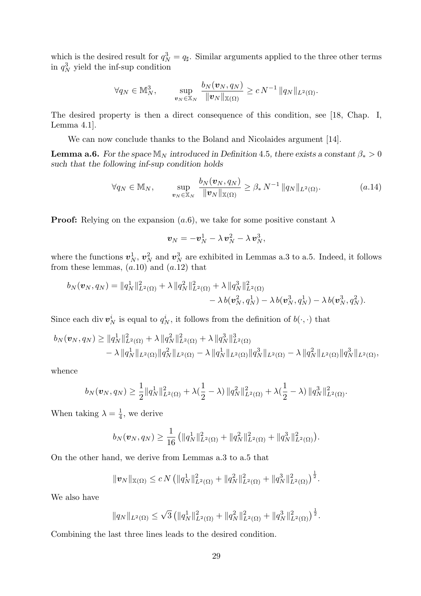which is the desired result for  $q_N^3 = q_\sharp$ . Similar arguments applied to the three other terms in  $q_N^3$  yield the inf-sup condition

$$
\forall q_N \in \mathbb{M}_N^3, \qquad \sup_{\boldsymbol{v}_N \in \mathbb{X}_N} \frac{b_N(\boldsymbol{v}_N, q_N)}{\|\boldsymbol{v}_N\|_{\mathbb{X}(\Omega)}} \ge c N^{-1} \|q_N\|_{L^2(\Omega)}.
$$

The desired property is then a direct consequence of this condition, see [18, Chap. I, Lemma 4.1].

We can now conclude thanks to the Boland and Nicolaides argument [14].

**Lemma a.6.** For the space  $\mathbb{M}_N$  introduced in Definition 4.5, there exists a constant  $\beta_* > 0$ such that the following inf-sup condition holds

$$
\forall q_N \in \mathbb{M}_N, \qquad \sup_{\boldsymbol{v}_N \in \mathbb{X}_N} \frac{b_N(\boldsymbol{v}_N, q_N)}{\|\boldsymbol{v}_N\|_{\mathbb{X}(\Omega)}} \geq \beta_* N^{-1} \|q_N\|_{L^2(\Omega)}.
$$
 (a.14)

**Proof:** Relying on the expansion  $(a.6)$ , we take for some positive constant  $\lambda$ 

$$
\boldsymbol{v}_N=-\boldsymbol{v}_N^1-\lambda\,\boldsymbol{v}_N^2-\lambda\,\boldsymbol{v}_N^3,
$$

where the functions  $v_N^1$ ,  $v_N^2$  and  $v_N^3$  are exhibited in Lemmas a.3 to a.5. Indeed, it follows from these lemmas,  $(a.10)$  and  $(a.12)$  that

$$
b_N(\boldsymbol{v}_N,q_N) = \|q_N^1\|_{L^2(\Omega)}^2 + \lambda \|q_N^2\|_{L^2(\Omega)}^2 + \lambda \|q_N^3\|_{L^2(\Omega)}^2 - \lambda b(\boldsymbol{v}_N^3,q_N^1) - \lambda b(\boldsymbol{v}_N^3,q_N^1) - \lambda b(\boldsymbol{v}_N^3,q_N^2).
$$

Since each div  $v_N^i$  is equal to  $q_N^i$ , it follows from the definition of  $b(\cdot, \cdot)$  that

$$
b_N(\boldsymbol{v}_N, q_N) \ge ||q_N^1||_{L^2(\Omega)}^2 + \lambda ||q_N^2||_{L^2(\Omega)}^2 + \lambda ||q_N^3||_{L^2(\Omega)}^3
$$
  
 
$$
- \lambda ||q_N^1||_{L^2(\Omega)} ||q_N^2||_{L^2(\Omega)} - \lambda ||q_N^1||_{L^2(\Omega)} ||q_N^3||_{L^2(\Omega)} - \lambda ||q_N^2||_{L^2(\Omega)} ||q_N^3||_{L^2(\Omega)},
$$

whence

$$
b_N(\boldsymbol{v}_N,q_N) \geq \frac{1}{2} ||q_N||_{L^2(\Omega)}^2 + \lambda(\frac{1}{2}-\lambda) ||q_N^2||_{L^2(\Omega)}^2 + \lambda(\frac{1}{2}-\lambda) ||q_N^3||_{L^2(\Omega)}^2.
$$

When taking  $\lambda = \frac{1}{4}$  $\frac{1}{4}$ , we derive

$$
b_N(\boldsymbol{v}_N,q_N) \geq \frac{1}{16} \left( \|q_N^1\|_{L^2(\Omega)}^2 + \|q_N^2\|_{L^2(\Omega)}^2 + \|q_N^3\|_{L^2(\Omega)}^2 \right).
$$

On the other hand, we derive from Lemmas a.3 to a.5 that

$$
\|\boldsymbol{v}_N\|_{\mathbb{X}(\Omega)} \le c N \left( \|q_N^1\|_{L^2(\Omega)}^2 + \|q_N^2\|_{L^2(\Omega)}^2 + \|q_N^3\|_{L^2(\Omega)}^2 \right)^{\frac{1}{2}}.
$$

We also have

$$
||q_N||_{L^2(\Omega)} \leq \sqrt{3} \left( ||q_N^1||^2_{L^2(\Omega)} + ||q_N^2||^2_{L^2(\Omega)} + ||q_N^3||^2_{L^2(\Omega)} \right)^{\frac{1}{2}}.
$$

Combining the last three lines leads to the desired condition.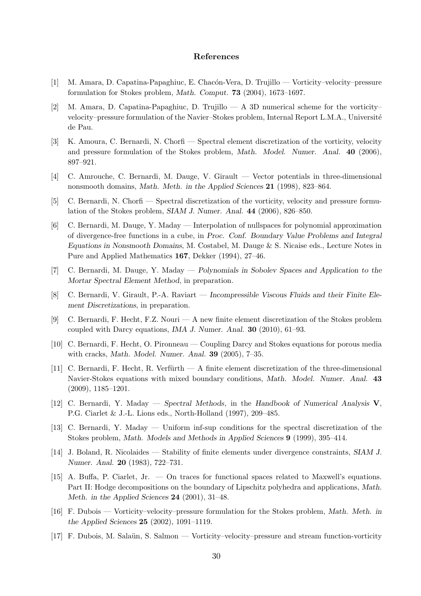# References

- [1] M. Amara, D. Capatina-Papaghiuc, E. Chac´on-Vera, D. Trujillo Vorticity–velocity–pressure formulation for Stokes problem, Math. Comput. 73 (2004), 1673–1697.
- [2] M. Amara, D. Capatina-Papaghiuc, D. Trujillo A 3D numerical scheme for the vorticity– velocity–pressure formulation of the Navier–Stokes problem, Internal Report L.M.A., Université de Pau.
- [3] K. Amoura, C. Bernardi, N. Chorfi Spectral element discretization of the vorticity, velocity and pressure formulation of the Stokes problem, Math. Model. Numer. Anal. 40 (2006), 897–921.
- [4] C. Amrouche, C. Bernardi, M. Dauge, V. Girault Vector potentials in three-dimensional nonsmooth domains, Math. Meth. in the Applied Sciences 21 (1998), 823–864.
- [5] C. Bernardi, N. Chorfi Spectral discretization of the vorticity, velocity and pressure formulation of the Stokes problem, SIAM J. Numer. Anal. 44 (2006), 826–850.
- [6] C. Bernardi, M. Dauge, Y. Maday Interpolation of nullspaces for polynomial approximation of divergence-free functions in a cube, in Proc. Conf. Boundary Value Problems and Integral Equations in Nonsmooth Domains, M. Costabel, M. Dauge & S. Nicaise eds., Lecture Notes in Pure and Applied Mathematics 167, Dekker (1994), 27–46.
- [7] C. Bernardi, M. Dauge, Y. Maday Polynomials in Sobolev Spaces and Application to the Mortar Spectral Element Method, in preparation.
- [8] C. Bernardi, V. Girault, P.-A. Raviart Incompressible Viscous Fluids and their Finite Element Discretizations, in preparation.
- [9] C. Bernardi, F. Hecht, F.Z. Nouri A new finite element discretization of the Stokes problem coupled with Darcy equations, IMA J. Numer. Anal. 30 (2010), 61–93.
- [10] C. Bernardi, F. Hecht, O. Pironneau Coupling Darcy and Stokes equations for porous media with cracks, Math. Model. Numer. Anal. 39 (2005), 7–35.
- [11] C. Bernardi, F. Hecht, R. Verfürth A finite element discretization of the three-dimensional Navier-Stokes equations with mixed boundary conditions, Math. Model. Numer. Anal. 43 (2009), 1185–1201.
- [12] C. Bernardi, Y. Maday Spectral Methods, in the Handbook of Numerical Analysis V, P.G. Ciarlet & J.-L. Lions eds., North-Holland (1997), 209–485.
- [13] C. Bernardi, Y. Maday Uniform inf-sup conditions for the spectral discretization of the Stokes problem, Math. Models and Methods in Applied Sciences 9 (1999), 395–414.
- [14] J. Boland, R. Nicolaides Stability of finite elements under divergence constraints, SIAM J. Numer. Anal. 20 (1983), 722–731.
- [15] A. Buffa, P. Ciarlet, Jr. On traces for functional spaces related to Maxwell's equations. Part II: Hodge decompositions on the boundary of Lipschitz polyhedra and applications, Math. Meth. in the Applied Sciences 24 (2001), 31–48.
- [16] F. Dubois Vorticity–velocity–pressure formulation for the Stokes problem, Math. Meth. in the Applied Sciences 25 (2002), 1091–1119.
- [17] F. Dubois, M. Salaün, S. Salmon Vorticity–velocity–pressure and stream function-vorticity